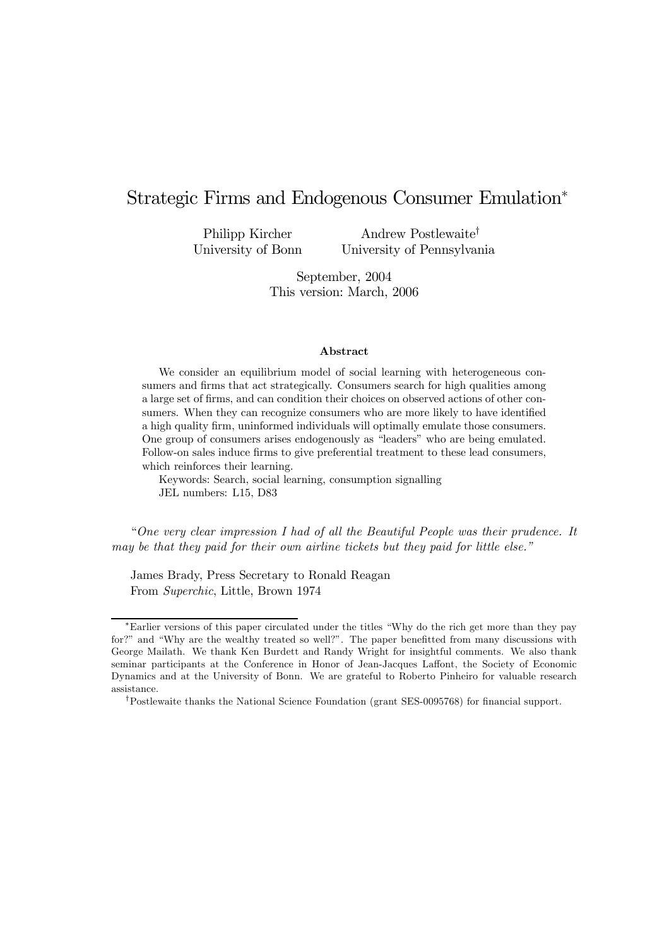# Strategic Firms and Endogenous Consumer Emulation<sup>∗</sup>

Philipp Kircher University of Bonn

Andrew Postlewaite† University of Pennsylvania

September, 2004 This version: March, 2006

#### Abstract

We consider an equilibrium model of social learning with heterogeneous consumers and firms that act strategically. Consumers search for high qualities among a large set of firms, and can condition their choices on observed actions of other consumers. When they can recognize consumers who are more likely to have identified a high quality firm, uninformed individuals will optimally emulate those consumers. One group of consumers arises endogenously as "leaders" who are being emulated. Follow-on sales induce firms to give preferential treatment to these lead consumers, which reinforces their learning.

Keywords: Search, social learning, consumption signalling JEL numbers: L15, D83

"One very clear impression I had of all the Beautiful People was their prudence. It may be that they paid for their own airline tickets but they paid for little else."

James Brady, Press Secretary to Ronald Reagan From Superchic, Little, Brown 1974

<sup>∗</sup>Earlier versions of this paper circulated under the titles "Why do the rich get more than they pay for?" and "Why are the wealthy treated so well?". The paper benefitted from many discussions with George Mailath. We thank Ken Burdett and Randy Wright for insightful comments. We also thank seminar participants at the Conference in Honor of Jean-Jacques Laffont, the Society of Economic Dynamics and at the University of Bonn. We are grateful to Roberto Pinheiro for valuable research assistance.

<sup>†</sup>Postlewaite thanks the National Science Foundation (grant SES-0095768) for financial support.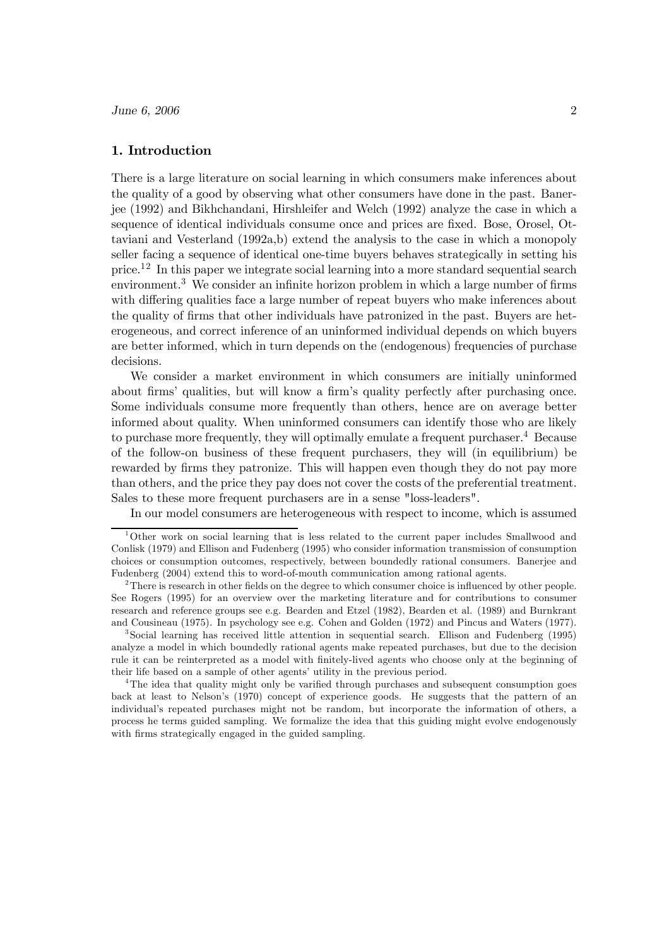# 1. Introduction

There is a large literature on social learning in which consumers make inferences about the quality of a good by observing what other consumers have done in the past. Banerjee (1992) and Bikhchandani, Hirshleifer and Welch (1992) analyze the case in which a sequence of identical individuals consume once and prices are fixed. Bose, Orosel, Ottaviani and Vesterland (1992a,b) extend the analysis to the case in which a monopoly seller facing a sequence of identical one-time buyers behaves strategically in setting his price.12 In this paper we integrate social learning into a more standard sequential search environment.<sup>3</sup> We consider an infinite horizon problem in which a large number of firms with differing qualities face a large number of repeat buyers who make inferences about the quality of firms that other individuals have patronized in the past. Buyers are heterogeneous, and correct inference of an uninformed individual depends on which buyers are better informed, which in turn depends on the (endogenous) frequencies of purchase decisions.

We consider a market environment in which consumers are initially uninformed about firms' qualities, but will know a firm's quality perfectly after purchasing once. Some individuals consume more frequently than others, hence are on average better informed about quality. When uninformed consumers can identify those who are likely to purchase more frequently, they will optimally emulate a frequent purchaser.<sup>4</sup> Because of the follow-on business of these frequent purchasers, they will (in equilibrium) be rewarded by firms they patronize. This will happen even though they do not pay more than others, and the price they pay does not cover the costs of the preferential treatment. Sales to these more frequent purchasers are in a sense "loss-leaders".

In our model consumers are heterogeneous with respect to income, which is assumed

<sup>1</sup>Other work on social learning that is less related to the current paper includes Smallwood and Conlisk (1979) and Ellison and Fudenberg (1995) who consider information transmission of consumption choices or consumption outcomes, respectively, between boundedly rational consumers. Banerjee and Fudenberg (2004) extend this to word-of-mouth communication among rational agents.

 $2$ There is research in other fields on the degree to which consumer choice is influenced by other people. See Rogers (1995) for an overview over the marketing literature and for contributions to consumer research and reference groups see e.g. Bearden and Etzel (1982), Bearden et al. (1989) and Burnkrant and Cousineau (1975). In psychology see e.g. Cohen and Golden (1972) and Pincus and Waters (1977).

<sup>3</sup>Social learning has received little attention in sequential search. Ellison and Fudenberg (1995) analyze a model in which boundedly rational agents make repeated purchases, but due to the decision rule it can be reinterpreted as a model with finitely-lived agents who choose only at the beginning of their life based on a sample of other agents' utility in the previous period.

<sup>&</sup>lt;sup>4</sup>The idea that quality might only be varified through purchases and subsequent consumption goes back at least to Nelson's (1970) concept of experience goods. He suggests that the pattern of an individual's repeated purchases might not be random, but incorporate the information of others, a process he terms guided sampling. We formalize the idea that this guiding might evolve endogenously with firms strategically engaged in the guided sampling.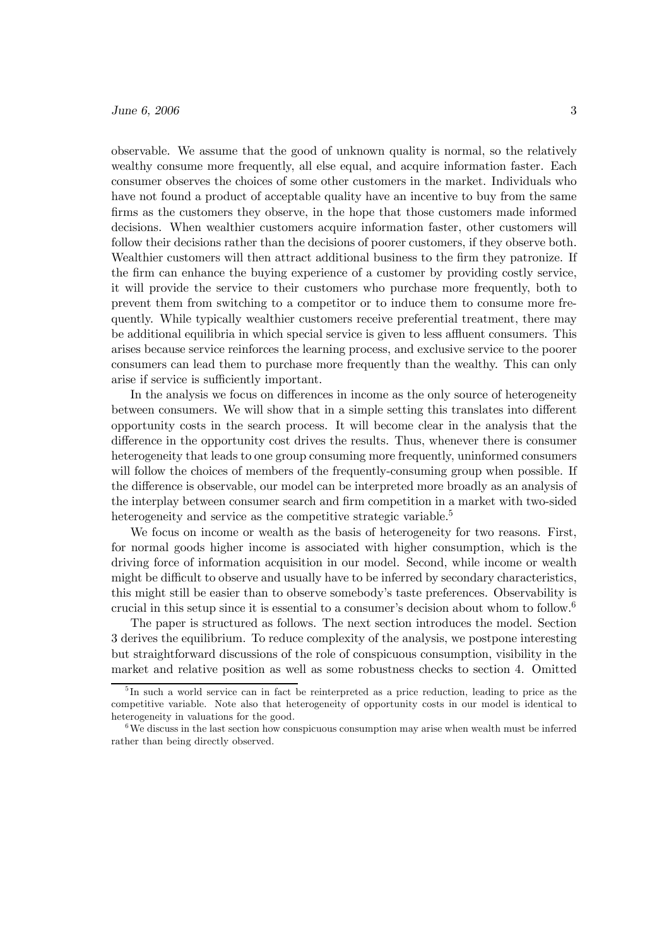observable. We assume that the good of unknown quality is normal, so the relatively wealthy consume more frequently, all else equal, and acquire information faster. Each consumer observes the choices of some other customers in the market. Individuals who have not found a product of acceptable quality have an incentive to buy from the same firms as the customers they observe, in the hope that those customers made informed decisions. When wealthier customers acquire information faster, other customers will follow their decisions rather than the decisions of poorer customers, if they observe both. Wealthier customers will then attract additional business to the firm they patronize. If the firm can enhance the buying experience of a customer by providing costly service, it will provide the service to their customers who purchase more frequently, both to prevent them from switching to a competitor or to induce them to consume more frequently. While typically wealthier customers receive preferential treatment, there may be additional equilibria in which special service is given to less affluent consumers. This arises because service reinforces the learning process, and exclusive service to the poorer consumers can lead them to purchase more frequently than the wealthy. This can only arise if service is sufficiently important.

In the analysis we focus on differences in income as the only source of heterogeneity between consumers. We will show that in a simple setting this translates into different opportunity costs in the search process. It will become clear in the analysis that the difference in the opportunity cost drives the results. Thus, whenever there is consumer heterogeneity that leads to one group consuming more frequently, uninformed consumers will follow the choices of members of the frequently-consuming group when possible. If the difference is observable, our model can be interpreted more broadly as an analysis of the interplay between consumer search and firm competition in a market with two-sided heterogeneity and service as the competitive strategic variable.<sup>5</sup>

We focus on income or wealth as the basis of heterogeneity for two reasons. First, for normal goods higher income is associated with higher consumption, which is the driving force of information acquisition in our model. Second, while income or wealth might be difficult to observe and usually have to be inferred by secondary characteristics, this might still be easier than to observe somebody's taste preferences. Observability is crucial in this setup since it is essential to a consumer's decision about whom to follow.<sup>6</sup>

The paper is structured as follows. The next section introduces the model. Section 3 derives the equilibrium. To reduce complexity of the analysis, we postpone interesting but straightforward discussions of the role of conspicuous consumption, visibility in the market and relative position as well as some robustness checks to section 4. Omitted

<sup>&</sup>lt;sup>5</sup>In such a world service can in fact be reinterpreted as a price reduction, leading to price as the competitive variable. Note also that heterogeneity of opportunity costs in our model is identical to heterogeneity in valuations for the good.

 $6$ We discuss in the last section how conspicuous consumption may arise when wealth must be inferred rather than being directly observed.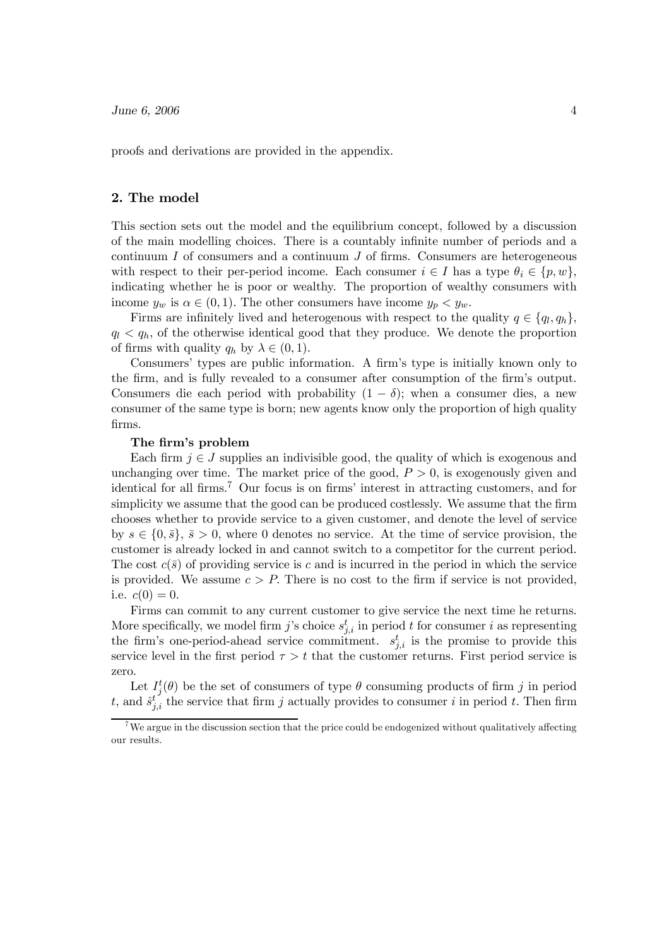proofs and derivations are provided in the appendix.

#### 2. The model

This section sets out the model and the equilibrium concept, followed by a discussion of the main modelling choices. There is a countably infinite number of periods and a continuum  $I$  of consumers and a continuum  $J$  of firms. Consumers are heterogeneous with respect to their per-period income. Each consumer  $i \in I$  has a type  $\theta_i \in \{p, w\}$ , indicating whether he is poor or wealthy. The proportion of wealthy consumers with income  $y_w$  is  $\alpha \in (0,1)$ . The other consumers have income  $y_p < y_w$ .

Firms are infinitely lived and heterogenous with respect to the quality  $q \in \{q_l, q_h\}$ ,  $q_l < q_h$ , of the otherwise identical good that they produce. We denote the proportion of firms with quality  $q_h$  by  $\lambda \in (0, 1)$ .

Consumers' types are public information. A firm's type is initially known only to the firm, and is fully revealed to a consumer after consumption of the firm's output. Consumers die each period with probability  $(1 - \delta)$ ; when a consumer dies, a new consumer of the same type is born; new agents know only the proportion of high quality firms.

# The firm's problem

Each firm  $j \in J$  supplies an indivisible good, the quality of which is exogenous and unchanging over time. The market price of the good,  $P > 0$ , is exogenously given and identical for all firms.<sup>7</sup> Our focus is on firms' interest in attracting customers, and for simplicity we assume that the good can be produced costlessly. We assume that the firm chooses whether to provide service to a given customer, and denote the level of service by  $s \in \{0, \bar{s}\}, \bar{s} > 0$ , where 0 denotes no service. At the time of service provision, the customer is already locked in and cannot switch to a competitor for the current period. The cost  $c(\bar{s})$  of providing service is c and is incurred in the period in which the service is provided. We assume  $c > P$ . There is no cost to the firm if service is not provided, i.e.  $c(0) = 0$ .

Firms can commit to any current customer to give service the next time he returns. More specifically, we model firm j's choice  $s_{j,i}^t$  in period t for consumer i as representing the firm's one-period-ahead service commitment.  $s_{j,i}^t$  is the promise to provide this service level in the first period  $\tau>t$  that the customer returns. First period service is zero.

Let  $I_j^t(\theta)$  be the set of consumers of type  $\theta$  consuming products of firm j in period t, and  $\hat{s}_{j,i}^{t'}$  the service that firm j actually provides to consumer i in period t. Then firm

<sup>&</sup>lt;sup>7</sup>We argue in the discussion section that the price could be endogenized without qualitatively affecting our results.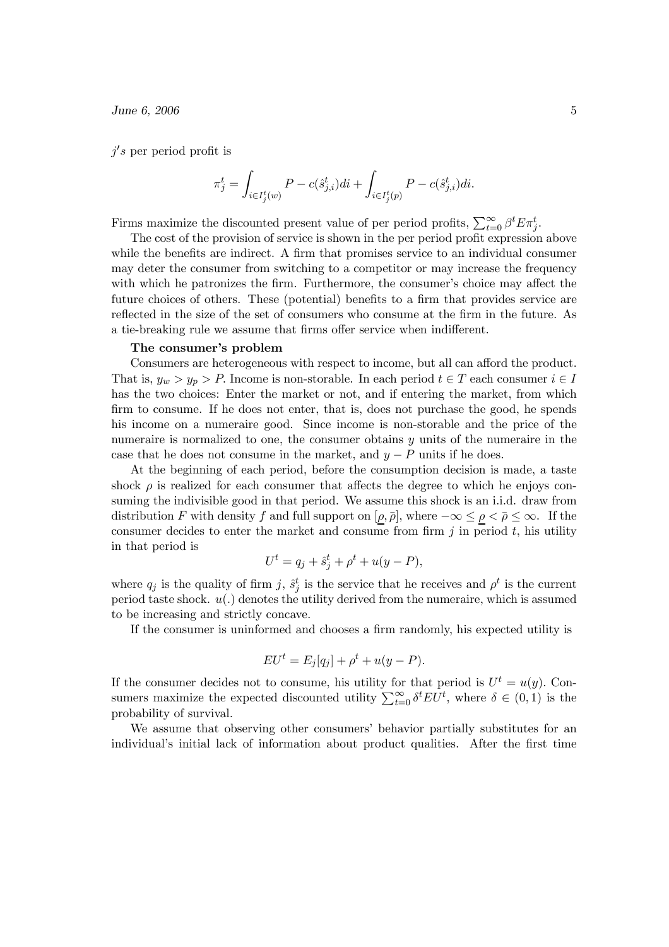$j's$  per period profit is

$$
\pi_j^t=\int_{i\in I_j^t(w)}P-c(\hat{s}^t_{j,i})di+\int_{i\in I_j^t(p)}P-c(\hat{s}^t_{j,i})di.
$$

Firms maximize the discounted present value of per period profits,  $\sum_{t=0}^{\infty} \beta^t E \pi_j^t$ .

The cost of the provision of service is shown in the per period profit expression above while the benefits are indirect. A firm that promises service to an individual consumer may deter the consumer from switching to a competitor or may increase the frequency with which he patronizes the firm. Furthermore, the consumer's choice may affect the future choices of others. These (potential) benefits to a firm that provides service are reflected in the size of the set of consumers who consume at the firm in the future. As a tie-breaking rule we assume that firms offer service when indifferent.

#### The consumer's problem

Consumers are heterogeneous with respect to income, but all can afford the product. That is,  $y_w > y_p > P$ . Income is non-storable. In each period  $t \in T$  each consumer  $i \in I$ has the two choices: Enter the market or not, and if entering the market, from which firm to consume. If he does not enter, that is, does not purchase the good, he spends his income on a numeraire good. Since income is non-storable and the price of the numeraire is normalized to one, the consumer obtains  $y$  units of the numeraire in the case that he does not consume in the market, and  $y - P$  units if he does.

At the beginning of each period, before the consumption decision is made, a taste shock  $\rho$  is realized for each consumer that affects the degree to which he enjoys consuming the indivisible good in that period. We assume this shock is an i.i.d. draw from distribution F with density f and full support on  $[\rho, \bar{\rho}]$ , where  $-\infty \leq \rho < \bar{\rho} \leq \infty$ . If the consumer decides to enter the market and consume from firm  $j$  in period  $t$ , his utility in that period is

$$
U^t = q_j + \hat{s}_j^t + \rho^t + u(y - P),
$$

where  $q_j$  is the quality of firm j,  $\hat{s}^t_j$  is the service that he receives and  $\rho^t$  is the current period taste shock.  $u(.)$  denotes the utility derived from the numeraire, which is assumed to be increasing and strictly concave.

If the consumer is uninformed and chooses a firm randomly, his expected utility is

$$
EU^t = E_j[q_j] + \rho^t + u(y - P).
$$

If the consumer decides not to consume, his utility for that period is  $U^t = u(y)$ . Consumers maximize the expected discounted utility  $\sum_{t=0}^{\infty} \delta^t E U^t$ , where  $\delta \in (0,1)$  is the probability of survival.

We assume that observing other consumers' behavior partially substitutes for an individual's initial lack of information about product qualities. After the first time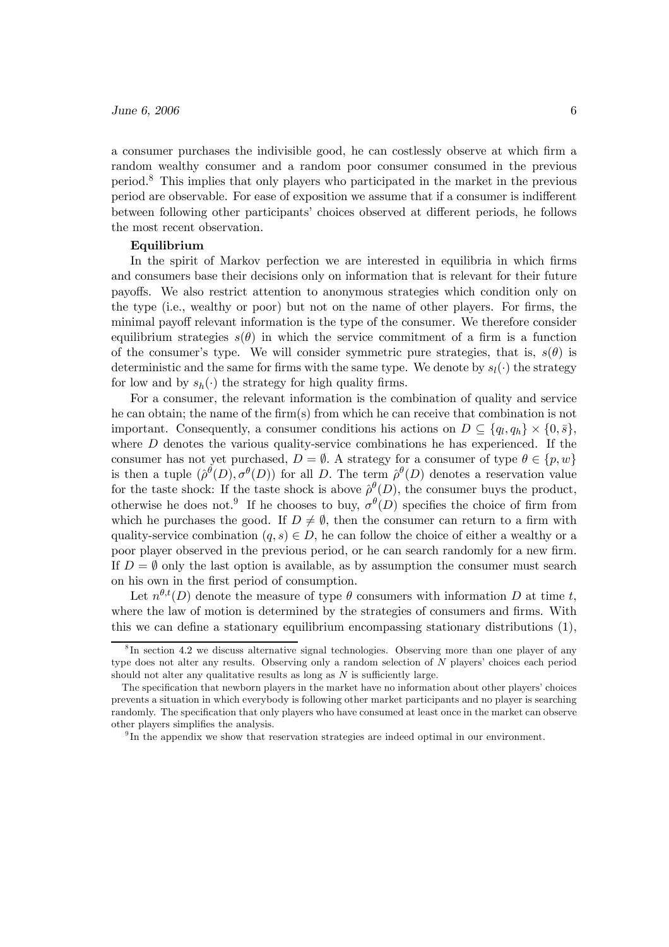a consumer purchases the indivisible good, he can costlessly observe at which firm a random wealthy consumer and a random poor consumer consumed in the previous period.<sup>8</sup> This implies that only players who participated in the market in the previous period are observable. For ease of exposition we assume that if a consumer is indifferent between following other participants' choices observed at different periods, he follows the most recent observation.

#### Equilibrium

In the spirit of Markov perfection we are interested in equilibria in which firms and consumers base their decisions only on information that is relevant for their future payoffs. We also restrict attention to anonymous strategies which condition only on the type (i.e., wealthy or poor) but not on the name of other players. For firms, the minimal payoff relevant information is the type of the consumer. We therefore consider equilibrium strategies  $s(\theta)$  in which the service commitment of a firm is a function of the consumer's type. We will consider symmetric pure strategies, that is,  $s(\theta)$  is deterministic and the same for firms with the same type. We denote by  $s_l(\cdot)$  the strategy for low and by  $s_h(\cdot)$  the strategy for high quality firms.

For a consumer, the relevant information is the combination of quality and service he can obtain; the name of the firm(s) from which he can receive that combination is not important. Consequently, a consumer conditions his actions on  $D \subseteq \{q_l, q_h\} \times \{0, \bar{s}\},\$ where  $D$  denotes the various quality-service combinations he has experienced. If the consumer has not yet purchased,  $D = \emptyset$ . A strategy for a consumer of type  $\theta \in \{p, w\}$ is then a tuple  $(\hat{\rho}^{\theta}(D), \sigma^{\theta}(D))$  for all D. The term  $\hat{\rho}^{\theta}(D)$  denotes a reservation value for the taste shock: If the taste shock is above  $\hat{\rho}^{\theta}(D)$ , the consumer buys the product, otherwise he does not.<sup>9</sup> If he chooses to buy,  $\sigma^{\theta}(D)$  specifies the choice of firm from which he purchases the good. If  $D \neq \emptyset$ , then the consumer can return to a firm with quality-service combination  $(q, s) \in D$ , he can follow the choice of either a wealthy or a poor player observed in the previous period, or he can search randomly for a new firm. If  $D = \emptyset$  only the last option is available, as by assumption the consumer must search on his own in the first period of consumption.

Let  $n^{\theta,t}(D)$  denote the measure of type  $\theta$  consumers with information D at time t, where the law of motion is determined by the strategies of consumers and firms. With this we can define a stationary equilibrium encompassing stationary distributions (1),

<sup>&</sup>lt;sup>8</sup>In section 4.2 we discuss alternative signal technologies. Observing more than one player of any type does not alter any results. Observing only a random selection of N players' choices each period should not alter any qualitative results as long as  $N$  is sufficiently large.

The specification that newborn players in the market have no information about other players' choices prevents a situation in which everybody is following other market participants and no player is searching randomly. The specification that only players who have consumed at least once in the market can observe other players simplifies the analysis.

<sup>9</sup> In the appendix we show that reservation strategies are indeed optimal in our environment.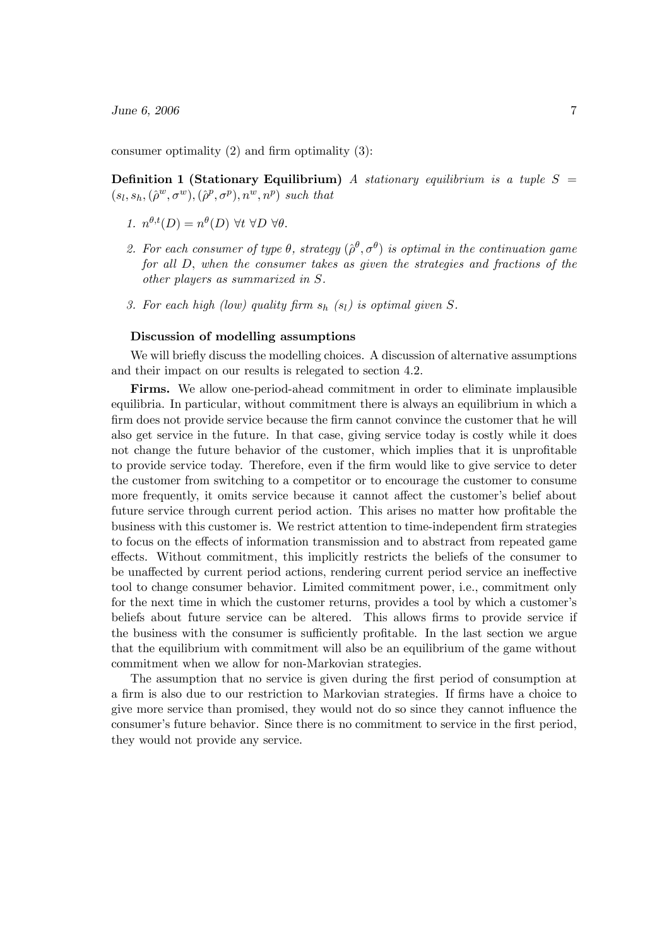consumer optimality (2) and firm optimality (3):

Definition 1 (Stationary Equilibrium) A stationary equilibrium is a tuple  $S =$  $(s_l, s_h, (\hat{\rho}^w, \sigma^w), (\hat{\rho}^p, \sigma^p), n^w, n^p)$  such that

- 1.  $n^{\theta,t}(D) = n^{\theta}(D)$   $\forall t \ \forall D \ \forall \theta$ .
- 2. For each consumer of type  $\theta$ , strategy  $(\hat{\rho}^{\theta}, \sigma^{\theta})$  is optimal in the continuation game for all D, when the consumer takes as given the strategies and fractions of the other players as summarized in S.
- 3. For each high (low) quality firm  $s_h$  (s<sub>l</sub>) is optimal given S.

#### Discussion of modelling assumptions

We will briefly discuss the modelling choices. A discussion of alternative assumptions and their impact on our results is relegated to section 4.2.

Firms. We allow one-period-ahead commitment in order to eliminate implausible equilibria. In particular, without commitment there is always an equilibrium in which a firm does not provide service because the firm cannot convince the customer that he will also get service in the future. In that case, giving service today is costly while it does not change the future behavior of the customer, which implies that it is unprofitable to provide service today. Therefore, even if the firm would like to give service to deter the customer from switching to a competitor or to encourage the customer to consume more frequently, it omits service because it cannot affect the customer's belief about future service through current period action. This arises no matter how profitable the business with this customer is. We restrict attention to time-independent firm strategies to focus on the effects of information transmission and to abstract from repeated game effects. Without commitment, this implicitly restricts the beliefs of the consumer to be unaffected by current period actions, rendering current period service an ineffective tool to change consumer behavior. Limited commitment power, i.e., commitment only for the next time in which the customer returns, provides a tool by which a customer's beliefs about future service can be altered. This allows firms to provide service if the business with the consumer is sufficiently profitable. In the last section we argue that the equilibrium with commitment will also be an equilibrium of the game without commitment when we allow for non-Markovian strategies.

The assumption that no service is given during the first period of consumption at a firm is also due to our restriction to Markovian strategies. If firms have a choice to give more service than promised, they would not do so since they cannot influence the consumer's future behavior. Since there is no commitment to service in the first period, they would not provide any service.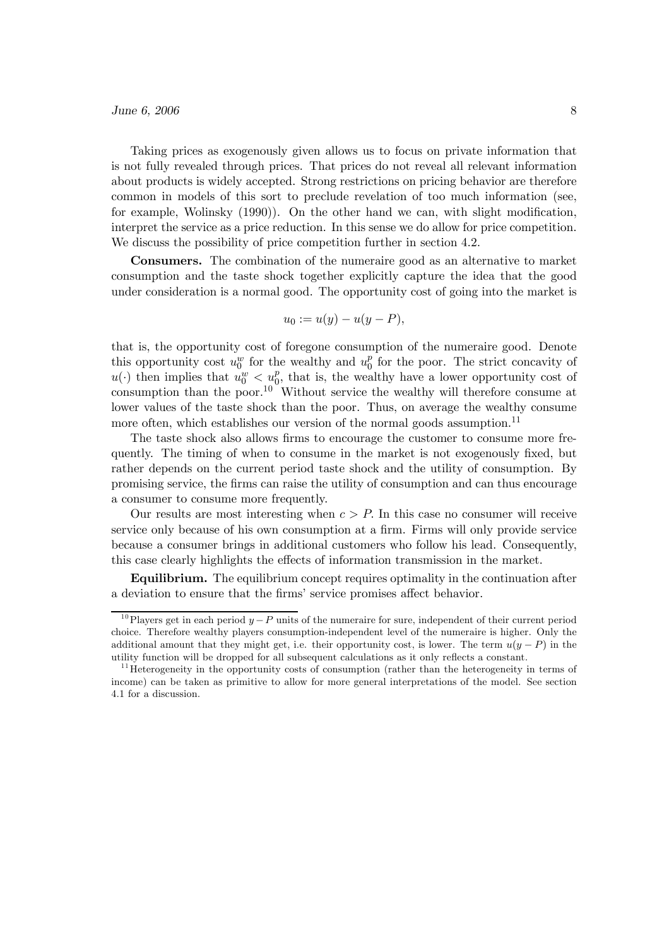Taking prices as exogenously given allows us to focus on private information that is not fully revealed through prices. That prices do not reveal all relevant information about products is widely accepted. Strong restrictions on pricing behavior are therefore common in models of this sort to preclude revelation of too much information (see, for example, Wolinsky (1990)). On the other hand we can, with slight modification, interpret the service as a price reduction. In this sense we do allow for price competition. We discuss the possibility of price competition further in section 4.2.

Consumers. The combination of the numeraire good as an alternative to market consumption and the taste shock together explicitly capture the idea that the good under consideration is a normal good. The opportunity cost of going into the market is

$$
u_0 := u(y) - u(y - P),
$$

that is, the opportunity cost of foregone consumption of the numeraire good. Denote this opportunity cost  $u_0^w$  for the wealthy and  $u_0^p$  for the poor. The strict concavity of  $u(\cdot)$  then implies that  $u_0^w < u_0^p$ , that is, the wealthy have a lower opportunity cost of consumption than the poor.<sup>10</sup> Without service the wealthy will therefore consume at lower values of the taste shock than the poor. Thus, on average the wealthy consume more often, which establishes our version of the normal goods assumption.<sup>11</sup>

The taste shock also allows firms to encourage the customer to consume more frequently. The timing of when to consume in the market is not exogenously fixed, but rather depends on the current period taste shock and the utility of consumption. By promising service, the firms can raise the utility of consumption and can thus encourage a consumer to consume more frequently.

Our results are most interesting when  $c > P$ . In this case no consumer will receive service only because of his own consumption at a firm. Firms will only provide service because a consumer brings in additional customers who follow his lead. Consequently, this case clearly highlights the effects of information transmission in the market.

Equilibrium. The equilibrium concept requires optimality in the continuation after a deviation to ensure that the firms' service promises affect behavior.

<sup>&</sup>lt;sup>10</sup>Players get in each period  $y - P$  units of the numeraire for sure, independent of their current period choice. Therefore wealthy players consumption-independent level of the numeraire is higher. Only the additional amount that they might get, i.e. their opportunity cost, is lower. The term  $u(y - P)$  in the utility function will be dropped for all subsequent calculations as it only reflects a constant.

 $11$  Heterogeneity in the opportunity costs of consumption (rather than the heterogeneity in terms of income) can be taken as primitive to allow for more general interpretations of the model. See section 4.1 for a discussion.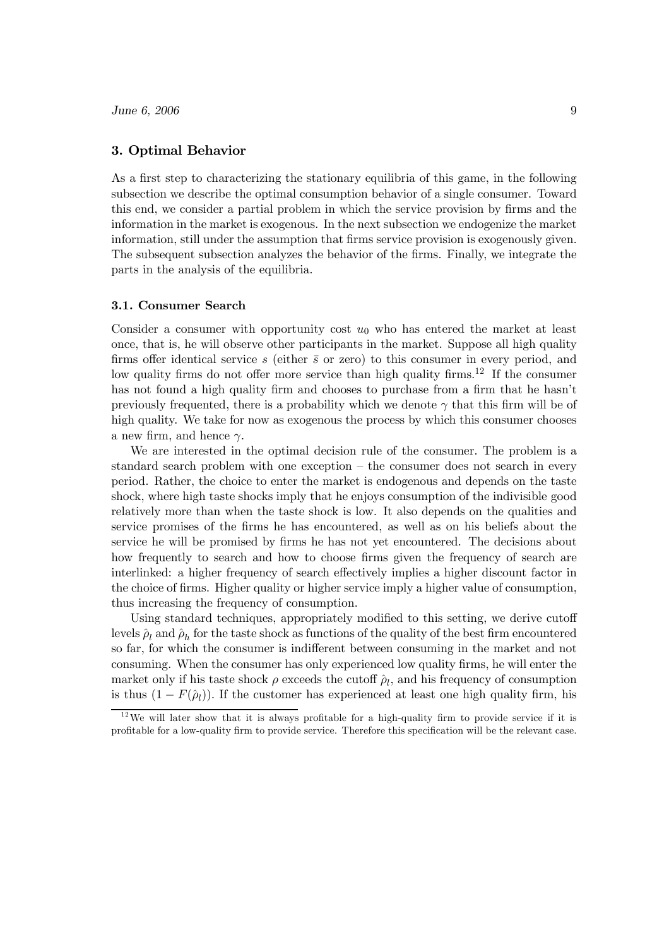# 3. Optimal Behavior

As a first step to characterizing the stationary equilibria of this game, in the following subsection we describe the optimal consumption behavior of a single consumer. Toward this end, we consider a partial problem in which the service provision by firms and the information in the market is exogenous. In the next subsection we endogenize the market information, still under the assumption that firms service provision is exogenously given. The subsequent subsection analyzes the behavior of the firms. Finally, we integrate the parts in the analysis of the equilibria.

#### 3.1. Consumer Search

Consider a consumer with opportunity cost  $u_0$  who has entered the market at least once, that is, he will observe other participants in the market. Suppose all high quality firms offer identical service s (either  $\bar{s}$  or zero) to this consumer in every period, and low quality firms do not offer more service than high quality firms.<sup>12</sup> If the consumer has not found a high quality firm and chooses to purchase from a firm that he hasn't previously frequented, there is a probability which we denote  $\gamma$  that this firm will be of high quality. We take for now as exogenous the process by which this consumer chooses a new firm, and hence  $\gamma$ .

We are interested in the optimal decision rule of the consumer. The problem is a standard search problem with one exception — the consumer does not search in every period. Rather, the choice to enter the market is endogenous and depends on the taste shock, where high taste shocks imply that he enjoys consumption of the indivisible good relatively more than when the taste shock is low. It also depends on the qualities and service promises of the firms he has encountered, as well as on his beliefs about the service he will be promised by firms he has not yet encountered. The decisions about how frequently to search and how to choose firms given the frequency of search are interlinked: a higher frequency of search effectively implies a higher discount factor in the choice of firms. Higher quality or higher service imply a higher value of consumption, thus increasing the frequency of consumption.

Using standard techniques, appropriately modified to this setting, we derive cutoff levels  $\hat{\rho}_l$  and  $\hat{\rho}_h$  for the taste shock as functions of the quality of the best firm encountered so far, for which the consumer is indifferent between consuming in the market and not consuming. When the consumer has only experienced low quality firms, he will enter the market only if his taste shock  $\rho$  exceeds the cutoff  $\hat{\rho}_l$ , and his frequency of consumption is thus  $(1 - F(\hat{\rho}_l))$ . If the customer has experienced at least one high quality firm, his

 $12$ We will later show that it is always profitable for a high-quality firm to provide service if it is profitable for a low-quality firm to provide service. Therefore this specification will be the relevant case.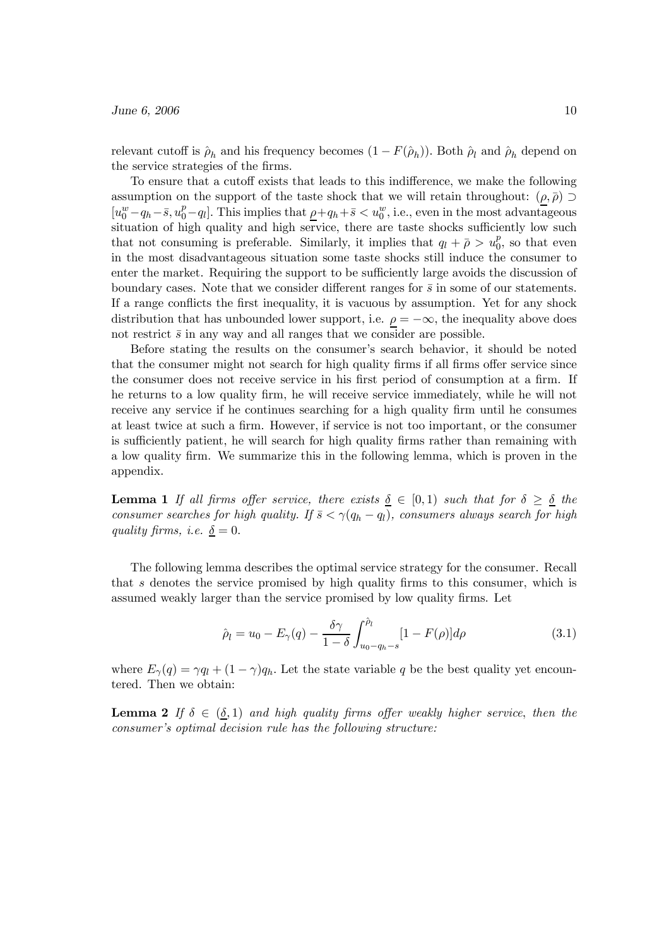relevant cutoff is  $\hat{\rho}_h$  and his frequency becomes  $(1 - F(\hat{\rho}_h))$ . Both  $\hat{\rho}_l$  and  $\hat{\rho}_h$  depend on the service strategies of the firms.

To ensure that a cutoff exists that leads to this indifference, we make the following assumption on the support of the taste shock that we will retain throughout:  $(\rho, \bar{\rho})$  $[u_0^w - q_h - \bar{s}, u_0^p - q_l]$ . This implies that  $\rho + q_h + \bar{s} < u_0^w$ , i.e., even in the most advantageous situation of high quality and high service, there are taste shocks sufficiently low such that not consuming is preferable. Similarly, it implies that  $q_l + \bar{\rho} > u_0^p$ , so that even in the most disadvantageous situation some taste shocks still induce the consumer to enter the market. Requiring the support to be sufficiently large avoids the discussion of boundary cases. Note that we consider different ranges for  $\bar{s}$  in some of our statements. If a range conflicts the first inequality, it is vacuous by assumption. Yet for any shock distribution that has unbounded lower support, i.e.  $\rho = -\infty$ , the inequality above does not restrict  $\bar{s}$  in any way and all ranges that we consider are possible.

Before stating the results on the consumer's search behavior, it should be noted that the consumer might not search for high quality firms if all firms offer service since the consumer does not receive service in his first period of consumption at a firm. If he returns to a low quality firm, he will receive service immediately, while he will not receive any service if he continues searching for a high quality firm until he consumes at least twice at such a firm. However, if service is not too important, or the consumer is sufficiently patient, he will search for high quality firms rather than remaining with a low quality firm. We summarize this in the following lemma, which is proven in the appendix.

**Lemma 1** If all firms offer service, there exists  $\delta \in [0,1)$  such that for  $\delta \geq \delta$  the consumer searches for high quality. If  $\bar{s} < \gamma (q_h - q_l)$ , consumers always search for high quality firms, i.e.  $\delta = 0$ .

The following lemma describes the optimal service strategy for the consumer. Recall that s denotes the service promised by high quality firms to this consumer, which is assumed weakly larger than the service promised by low quality firms. Let

$$
\hat{\rho}_l = u_0 - E_{\gamma}(q) - \frac{\delta \gamma}{1 - \delta} \int_{u_0 - q_h - s}^{\hat{\rho}_l} [1 - F(\rho)] d\rho \tag{3.1}
$$

where  $E_{\gamma}(q) = \gamma q_l + (1 - \gamma) q_h$ . Let the state variable q be the best quality yet encountered. Then we obtain:

**Lemma 2** If  $\delta \in (\delta, 1)$  and high quality firms offer weakly higher service, then the consumer's optimal decision rule has the following structure: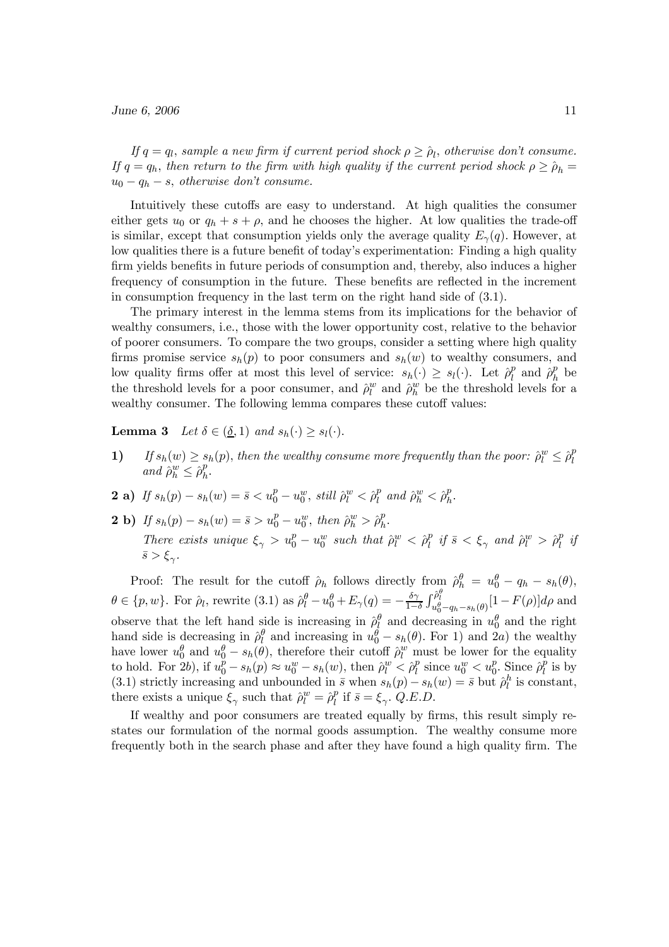If  $q = q_l$ , sample a new firm if current period shock  $\rho \geq \hat{\rho}_l$ , otherwise don't consume. If  $q = q_h$ , then return to the firm with high quality if the current period shock  $\rho \geq \hat{\rho}_h =$  $u_0 - q_h - s$ , otherwise don't consume.

Intuitively these cutoffs are easy to understand. At high qualities the consumer either gets  $u_0$  or  $q_h + s + \rho$ , and he chooses the higher. At low qualities the trade-off is similar, except that consumption yields only the average quality  $E_{\gamma}(q)$ . However, at low qualities there is a future benefit of today's experimentation: Finding a high quality firm yields benefits in future periods of consumption and, thereby, also induces a higher frequency of consumption in the future. These benefits are reflected in the increment in consumption frequency in the last term on the right hand side of (3.1).

The primary interest in the lemma stems from its implications for the behavior of wealthy consumers, i.e., those with the lower opportunity cost, relative to the behavior of poorer consumers. To compare the two groups, consider a setting where high quality firms promise service  $s_h(p)$  to poor consumers and  $s_h(w)$  to wealthy consumers, and low quality firms offer at most this level of service:  $s_h(\cdot) \geq s_l(\cdot)$ . Let  $\hat{\rho}_l^p$  and  $\hat{\rho}_h^p$  be the threshold levels for a poor consumer, and  $\hat{\rho}_l^w$  and  $\hat{\rho}_h^w$  be the threshold levels for a wealthy consumer. The following lemma compares these cutoff values:

**Lemma 3** Let  $\delta \in (\underline{\delta}, 1)$  and  $s_h(\cdot) \geq s_l(\cdot)$ .

- 1) If  $s_h(w) \geq s_h(p)$ , then the wealthy consume more frequently than the poor:  $\hat{\rho}_l^w \leq \hat{\rho}_l^p$ and  $\hat{\rho}_h^w \leq \hat{\rho}_h^p$ .
- **2** a) If  $s_h(p) s_h(w) = \bar{s} < u_0^p u_0^w$ , still  $\hat{\rho}_l^w < \hat{\rho}_l^p$  and  $\hat{\rho}_h^w < \hat{\rho}_h^p$ .
- **2** b) If  $s_h(p) s_h(w) = \bar{s} > u_0^p u_0^w$ , then  $\hat{\rho}_h^w > \hat{\rho}_h^p$ . There exists unique  $\xi_{\gamma} > u_0^p - u_0^w$  such that  $\hat{\rho}_l^w < \hat{\rho}_l^p$  if  $\bar{s} < \xi_{\gamma}$  and  $\hat{\rho}_l^w > \hat{\rho}_l^p$  if  $\bar{s} > \xi_{\gamma}$ .

Proof: The result for the cutoff  $\hat{\rho}_h$  follows directly from  $\hat{\rho}_h^{\theta} = u_0^{\theta} - q_h - s_h(\theta)$ ,  $\theta \in \{p, w\}$ . For  $\hat{\rho}_l$ , rewrite (3.1) as  $\hat{\rho}_l^{\theta} - u_0^{\theta} + E_{\gamma}(q) = -\frac{\delta \gamma}{1-\delta}$  $\int_{u_0^{\theta} - q_h - s_h(\theta)}^{\hat{\rho}_l^{\theta}} [1 - F(\rho)] d\rho$  and observe that the left hand side is increasing in  $\rho_l^{\theta}$  and decreasing in  $u_0^{\theta}$  and the right hand side is decreasing in  $\rho_l^{\theta}$  and increasing in  $u_0^{\theta} - s_h(\theta)$ . For 1) and 2a) the wealthy have lower  $u_0^{\theta}$  and  $u_0^{\theta} - s_h(\theta)$ , therefore their cutoff  $\hat{\rho}_l^w$  must be lower for the equality to hold. For  $2b$ , if  $u_0^p - s_h(p) \approx u_0^w - s_h(w)$ , then  $\hat{\rho}_l^w \leq \hat{\rho}_l^p$  since  $u_0^w < u_0^p$ . Since  $\hat{\rho}_l^p$  is by (3.1) strictly increasing and unbounded in  $\bar{s}$  when  $s_h(p) - s_h(w) = \bar{s}$  but  $\hat{\rho}_l^h$  is constant, there exists a unique  $\xi_{\gamma}$  such that  $\hat{\rho}_l^w = \hat{\rho}_l^p$  if  $\bar{s} = \xi_{\gamma}$ .  $\hat{Q}$ .E.D.

If wealthy and poor consumers are treated equally by firms, this result simply restates our formulation of the normal goods assumption. The wealthy consume more frequently both in the search phase and after they have found a high quality firm. The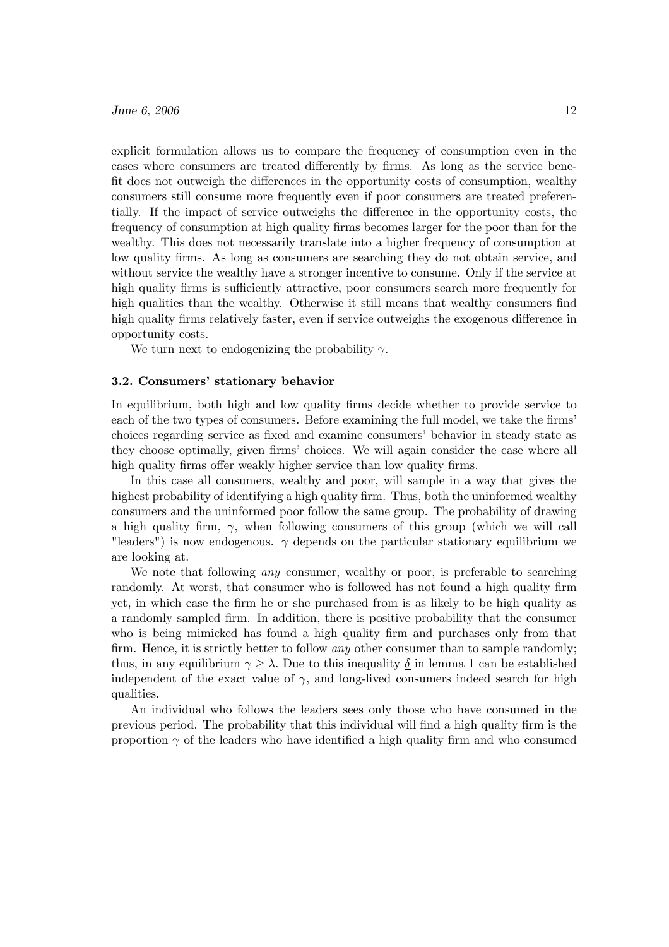explicit formulation allows us to compare the frequency of consumption even in the cases where consumers are treated differently by firms. As long as the service benefit does not outweigh the differences in the opportunity costs of consumption, wealthy consumers still consume more frequently even if poor consumers are treated preferentially. If the impact of service outweighs the difference in the opportunity costs, the frequency of consumption at high quality firms becomes larger for the poor than for the wealthy. This does not necessarily translate into a higher frequency of consumption at low quality firms. As long as consumers are searching they do not obtain service, and without service the wealthy have a stronger incentive to consume. Only if the service at high quality firms is sufficiently attractive, poor consumers search more frequently for high qualities than the wealthy. Otherwise it still means that wealthy consumers find high quality firms relatively faster, even if service outweighs the exogenous difference in opportunity costs.

We turn next to endogenizing the probability  $\gamma$ .

#### 3.2. Consumers' stationary behavior

In equilibrium, both high and low quality firms decide whether to provide service to each of the two types of consumers. Before examining the full model, we take the firms' choices regarding service as fixed and examine consumers' behavior in steady state as they choose optimally, given firms' choices. We will again consider the case where all high quality firms offer weakly higher service than low quality firms.

In this case all consumers, wealthy and poor, will sample in a way that gives the highest probability of identifying a high quality firm. Thus, both the uninformed wealthy consumers and the uninformed poor follow the same group. The probability of drawing a high quality firm,  $\gamma$ , when following consumers of this group (which we will call "leaders") is now endogenous.  $\gamma$  depends on the particular stationary equilibrium we are looking at.

We note that following *any* consumer, wealthy or poor, is preferable to searching randomly. At worst, that consumer who is followed has not found a high quality firm yet, in which case the firm he or she purchased from is as likely to be high quality as a randomly sampled firm. In addition, there is positive probability that the consumer who is being mimicked has found a high quality firm and purchases only from that firm. Hence, it is strictly better to follow *any* other consumer than to sample randomly; thus, in any equilibrium  $\gamma \geq \lambda$ . Due to this inequality  $\delta$  in lemma 1 can be established independent of the exact value of  $\gamma$ , and long-lived consumers indeed search for high qualities.

An individual who follows the leaders sees only those who have consumed in the previous period. The probability that this individual will find a high quality firm is the proportion  $\gamma$  of the leaders who have identified a high quality firm and who consumed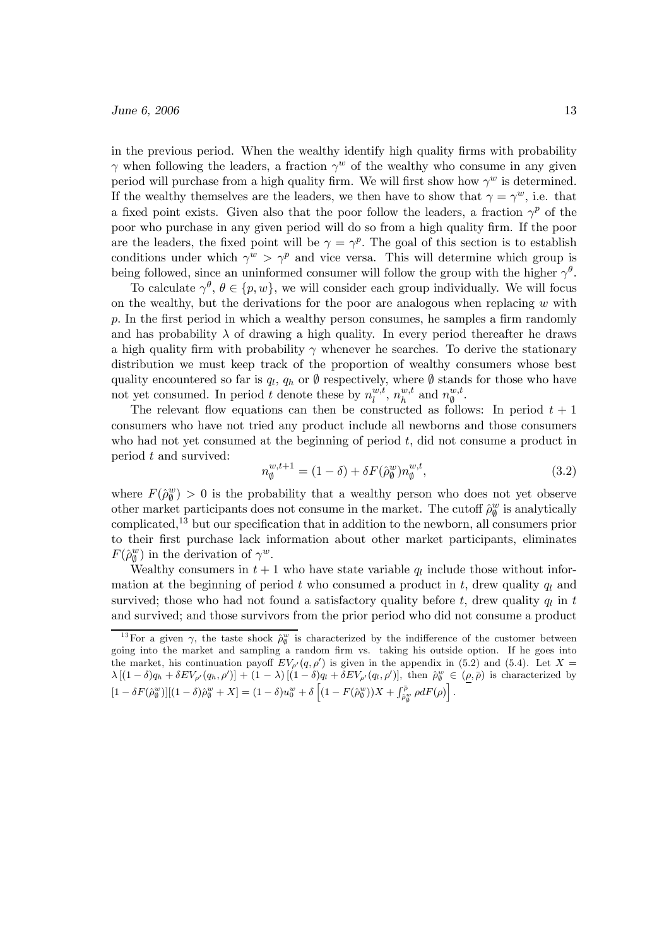in the previous period. When the wealthy identify high quality firms with probability  $\gamma$  when following the leaders, a fraction  $\gamma^w$  of the wealthy who consume in any given period will purchase from a high quality firm. We will first show how  $\gamma^w$  is determined. If the wealthy themselves are the leaders, we then have to show that  $\gamma = \gamma^w$ , i.e. that a fixed point exists. Given also that the poor follow the leaders, a fraction  $\gamma^p$  of the poor who purchase in any given period will do so from a high quality firm. If the poor are the leaders, the fixed point will be  $\gamma = \gamma^p$ . The goal of this section is to establish conditions under which  $\gamma^w > \gamma^p$  and vice versa. This will determine which group is being followed, since an uninformed consumer will follow the group with the higher  $\gamma^{\theta}$ .

To calculate  $\gamma^{\theta}$ ,  $\theta \in \{p, w\}$ , we will consider each group individually. We will focus on the wealthy, but the derivations for the poor are analogous when replacing  $w$  with p. In the first period in which a wealthy person consumes, he samples a firm randomly and has probability  $\lambda$  of drawing a high quality. In every period thereafter he draws a high quality firm with probability  $\gamma$  whenever he searches. To derive the stationary distribution we must keep track of the proportion of wealthy consumers whose best quality encountered so far is  $q_l$ ,  $q_h$  or  $\emptyset$  respectively, where  $\emptyset$  stands for those who have not yet consumed. In period t denote these by  $n_l^{w,t}$ ,  $n_h^{w,t}$  and  $n_{\emptyset}^{w,t}$ .

The relevant flow equations can then be constructed as follows: In period  $t + 1$ consumers who have not tried any product include all newborns and those consumers who had not yet consumed at the beginning of period  $t$ , did not consume a product in period t and survived:

$$
n_{\emptyset}^{w,t+1} = (1 - \delta) + \delta F(\hat{\rho}_{\emptyset}^{w}) n_{\emptyset}^{w,t}, \qquad (3.2)
$$

where  $F(\hat{\rho}_{\emptyset}^w) > 0$  is the probability that a wealthy person who does not yet observe other market participants does not consume in the market. The cutoff  $\rho_{\theta}^{w}$  is analytically complicated,<sup>13</sup> but our specification that in addition to the newborn, all consumers prior to their first purchase lack information about other market participants, eliminates  $F(\hat{\rho}_{\emptyset}^{w})$  in the derivation of  $\gamma^{w}$ .

Wealthy consumers in  $t + 1$  who have state variable  $q_l$  include those without information at the beginning of period t who consumed a product in t, drew quality  $q_l$  and survived; those who had not found a satisfactory quality before t, drew quality  $q_l$  in t and survived; and those survivors from the prior period who did not consume a product

<sup>&</sup>lt;sup>13</sup>For a given  $\gamma$ , the taste shock  $\rho_{\emptyset}^{w}$  is characterized by the indifference of the customer between going into the market and sampling a random firm vs. taking his outside option. If he goes into the market, his continuation payoff  $EV_{\rho'}(q, \rho')$  is given in the appendix in (5.2) and (5.4). Let  $X =$  $\lambda [(1-\delta)q_h + \delta EV_{\rho'}(q_h, \rho')] + (1-\lambda) [(1-\delta)q_l + \delta EV_{\rho'}(q_l, \rho')]$ , then  $\hat{\rho}_{\emptyset}^w \in (\rho, \bar{\rho})$  is characterized by  $[1 - \delta F(\hat{\rho}_\emptyset^w)][(1 - \delta)\hat{\rho}_\emptyset^w + X] = (1 - \delta)u_0^w + \delta \left[ (1 - F(\hat{\rho}_\emptyset^w))X + \int_{\hat{\rho}_\emptyset^w} \rho dF(\rho) \right].$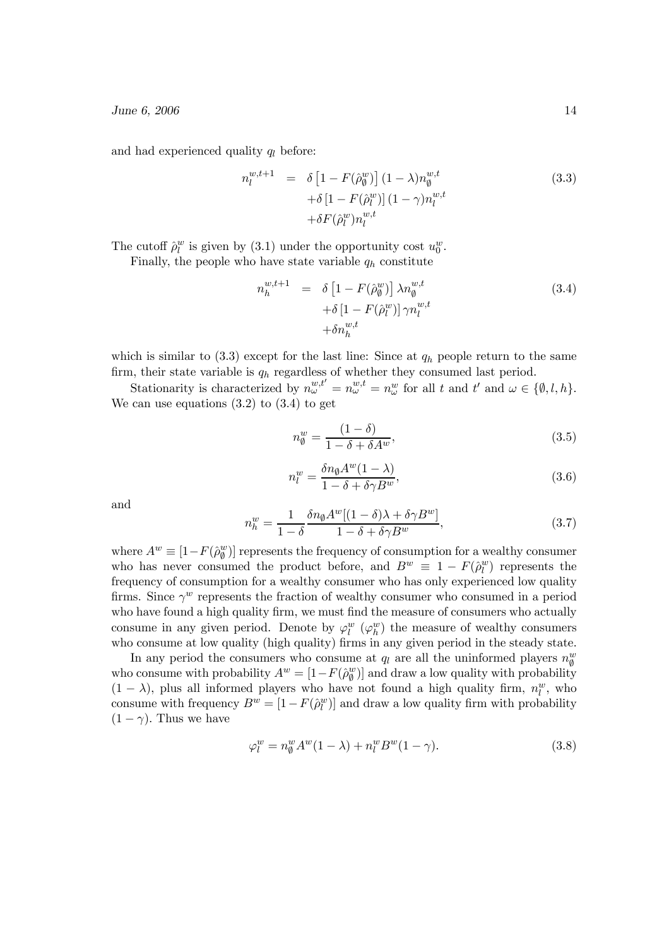and had experienced quality  $q_l$  before:

$$
n_l^{w,t+1} = \delta \left[ 1 - F(\hat{\rho}_{\emptyset}^w) \right] (1 - \lambda) n_{\emptyset}^{w,t}
$$
  
+ \delta \left[ 1 - F(\hat{\rho}\_l^w) \right] (1 - \gamma) n\_l^{w,t}  
+ \delta F(\hat{\rho}\_l^w) n\_l^{w,t}(3.3)

The cutoff  $\hat{\rho}_l^w$  is given by (3.1) under the opportunity cost  $u_0^w$ .

Finally, the people who have state variable  $q_h$  constitute

$$
n_h^{w,t+1} = \delta \left[ 1 - F(\hat{\rho}_{\emptyset}^w) \right] \lambda n_{\emptyset}^{w,t}
$$
  
 
$$
+ \delta \left[ 1 - F(\hat{\rho}_{l}^w) \right] \gamma n_{l}^{w,t}
$$
  
 
$$
+ \delta n_h^{w,t}
$$
 (3.4)

which is similar to  $(3.3)$  except for the last line: Since at  $q_h$  people return to the same firm, their state variable is  $q_h$  regardless of whether they consumed last period.

Stationarity is characterized by  $n_{\omega}^{w,t'} = n_{\omega}^{w,t} = n_{\omega}^w$  for all t and  $t'$  and  $\omega \in {\emptyset, l, h}.$ We can use equations  $(3.2)$  to  $(3.4)$  to get

$$
n_{\emptyset}^{w} = \frac{(1 - \delta)}{1 - \delta + \delta A^{w}},\tag{3.5}
$$

$$
n_l^w = \frac{\delta n_{\emptyset} A^w (1 - \lambda)}{1 - \delta + \delta \gamma B^w},\tag{3.6}
$$

and

$$
n_h^w = \frac{1}{1 - \delta} \frac{\delta n_\emptyset A^w [(1 - \delta)\lambda + \delta \gamma B^w]}{1 - \delta + \delta \gamma B^w},\tag{3.7}
$$

where  $A^w \equiv [1 - F(\hat{\rho}_{\emptyset}^w)]$  represents the frequency of consumption for a wealthy consumer who has never consumed the product before, and  $B^w \equiv 1 - F(\hat{\rho}_l^w)$  represents the frequency of consumption for a wealthy consumer who has only experienced low quality firms. Since  $\gamma^w$  represents the fraction of wealthy consumer who consumed in a period who have found a high quality firm, we must find the measure of consumers who actually consume in any given period. Denote by  $\varphi_l^w(\varphi_h^w)$  the measure of wealthy consumers who consume at low quality (high quality) firms in any given period in the steady state.

In any period the consumers who consume at  $q_l$  are all the uninformed players  $n_q^w$ who consume with probability  $A^w = [1 - F(\hat{\rho}_{\emptyset}^w)]$  and draw a low quality with probability  $(1 - \lambda)$ , plus all informed players who have not found a high quality firm,  $n_l^w$ , who consume with frequency  $B^w = [1 - F(\hat{\rho}_l^w)]$  and draw a low quality firm with probability  $(1 - \gamma)$ . Thus we have

$$
\varphi_l^w = n_\emptyset^w A^w (1 - \lambda) + n_l^w B^w (1 - \gamma). \tag{3.8}
$$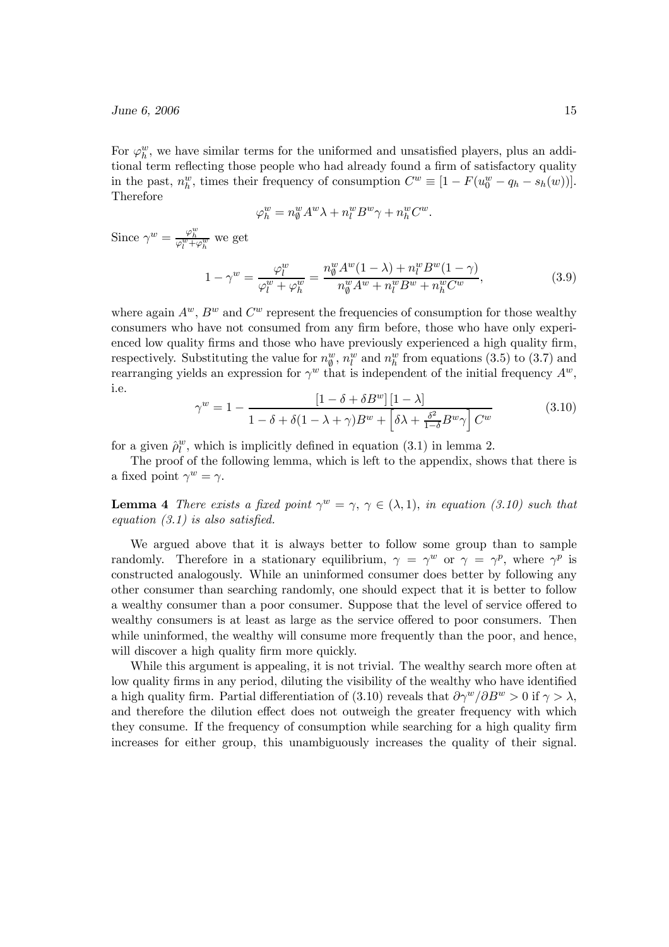For  $\varphi_h^w$ , we have similar terms for the uniformed and unsatisfied players, plus an additional term reflecting those people who had already found a firm of satisfactory quality in the past,  $n_h^w$ , times their frequency of consumption  $C^w \equiv [1 - F(u_0^w - q_h - s_h(w))]$ . Therefore

$$
\varphi_h^w = n_\emptyset^w A^w \lambda + n_l^w B^w \gamma + n_h^w C^w.
$$

Since  $\gamma^w = \frac{\varphi_h^w}{\varphi_l^w + \varphi_h^w}$  we get

$$
1 - \gamma^w = \frac{\varphi_l^w}{\varphi_l^w + \varphi_h^w} = \frac{n_\emptyset^w A^w (1 - \lambda) + n_l^w B^w (1 - \gamma)}{n_\emptyset^w A^w + n_l^w B^w + n_h^w C^w},\tag{3.9}
$$

where again  $A^w$ ,  $B^w$  and  $C^w$  represent the frequencies of consumption for those wealthy consumers who have not consumed from any firm before, those who have only experienced low quality firms and those who have previously experienced a high quality firm, respectively. Substituting the value for  $n_{\ell}^{w}$ ,  $n_{\ell}^{w}$  and  $n_{h}^{w}$  from equations (3.5) to (3.7) and rearranging yields an expression for  $\gamma^w$  that is independent of the initial frequency  $A^w$ , i.e.

$$
\gamma^{w} = 1 - \frac{\left[1 - \delta + \delta B^{w}\right]\left[1 - \lambda\right]}{1 - \delta + \delta(1 - \lambda + \gamma)B^{w} + \left[\delta\lambda + \frac{\delta^{2}}{1 - \delta}B^{w}\gamma\right]C^{w}}
$$
(3.10)

for a given  $\hat{\rho}_l^w$ , which is implicitly defined in equation (3.1) in lemma 2.

The proof of the following lemma, which is left to the appendix, shows that there is a fixed point  $\gamma^w = \gamma$ .

**Lemma 4** There exists a fixed point  $\gamma^w = \gamma$ ,  $\gamma \in (\lambda, 1)$ , in equation (3.10) such that equation  $(3.1)$  is also satisfied.

We argued above that it is always better to follow some group than to sample randomly. Therefore in a stationary equilibrium,  $\gamma = \gamma^w$  or  $\gamma = \gamma^p$ , where  $\gamma^p$  is constructed analogously. While an uninformed consumer does better by following any other consumer than searching randomly, one should expect that it is better to follow a wealthy consumer than a poor consumer. Suppose that the level of service offered to wealthy consumers is at least as large as the service offered to poor consumers. Then while uninformed, the wealthy will consume more frequently than the poor, and hence, will discover a high quality firm more quickly.

While this argument is appealing, it is not trivial. The wealthy search more often at low quality firms in any period, diluting the visibility of the wealthy who have identified a high quality firm. Partial differentiation of (3.10) reveals that  $\partial \gamma^w / \partial B^w > 0$  if  $\gamma > \lambda$ , and therefore the dilution effect does not outweigh the greater frequency with which they consume. If the frequency of consumption while searching for a high quality firm increases for either group, this unambiguously increases the quality of their signal.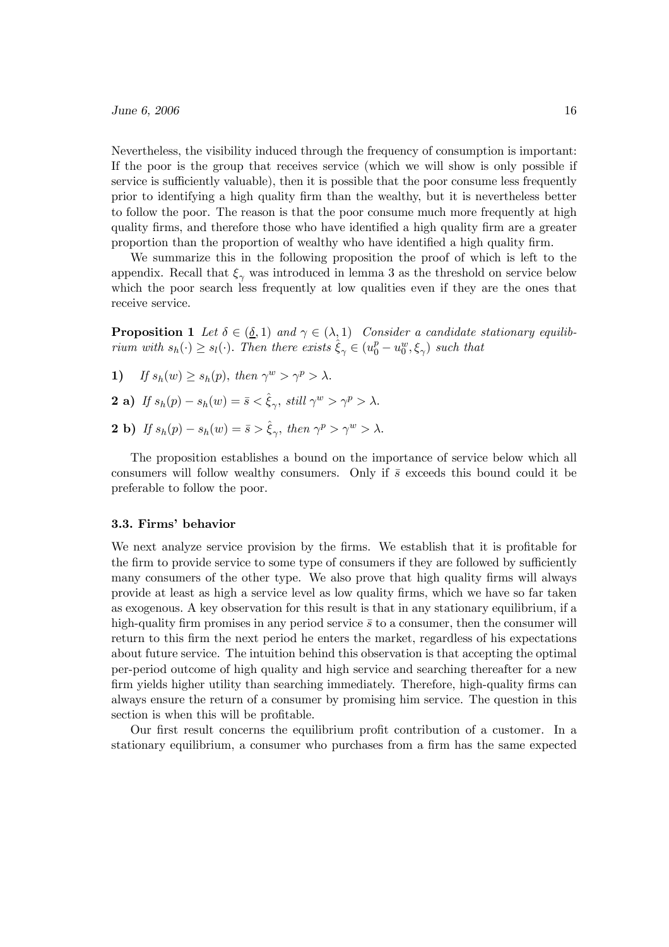Nevertheless, the visibility induced through the frequency of consumption is important: If the poor is the group that receives service (which we will show is only possible if service is sufficiently valuable), then it is possible that the poor consume less frequently prior to identifying a high quality firm than the wealthy, but it is nevertheless better to follow the poor. The reason is that the poor consume much more frequently at high quality firms, and therefore those who have identified a high quality firm are a greater proportion than the proportion of wealthy who have identified a high quality firm.

We summarize this in the following proposition the proof of which is left to the appendix. Recall that  $\xi_{\gamma}$  was introduced in lemma 3 as the threshold on service below which the poor search less frequently at low qualities even if they are the ones that receive service.

**Proposition 1** Let  $\delta \in (\underline{\delta}, 1)$  and  $\gamma \in (\lambda, 1)$  Consider a candidate stationary equilibrium with  $s_h(\cdot) \geq s_l(\cdot)$ . Then there exists  $\hat{\xi}_{\gamma} \in (u_0^p - u_0^w, \xi_{\gamma})$  such that

- 1) If  $s_h(w) > s_h(p)$ , then  $\gamma^w > \gamma^p > \lambda$ .
- **2** a) If  $s_h(p) s_h(w) = \bar{s} < \hat{\xi}_{\gamma}$ , still  $\gamma^w > \gamma^p > \lambda$ .
- **2** b) If  $s_h(p) s_h(w) = \bar{s} > \hat{\xi}_{\infty}$ , then  $\gamma^p > \gamma^w > \lambda$ .

The proposition establishes a bound on the importance of service below which all consumers will follow wealthy consumers. Only if  $\bar{s}$  exceeds this bound could it be preferable to follow the poor.

#### 3.3. Firms' behavior

We next analyze service provision by the firms. We establish that it is profitable for the firm to provide service to some type of consumers if they are followed by sufficiently many consumers of the other type. We also prove that high quality firms will always provide at least as high a service level as low quality firms, which we have so far taken as exogenous. A key observation for this result is that in any stationary equilibrium, if a high-quality firm promises in any period service  $\bar{s}$  to a consumer, then the consumer will return to this firm the next period he enters the market, regardless of his expectations about future service. The intuition behind this observation is that accepting the optimal per-period outcome of high quality and high service and searching thereafter for a new firm yields higher utility than searching immediately. Therefore, high-quality firms can always ensure the return of a consumer by promising him service. The question in this section is when this will be profitable.

Our first result concerns the equilibrium profit contribution of a customer. In a stationary equilibrium, a consumer who purchases from a firm has the same expected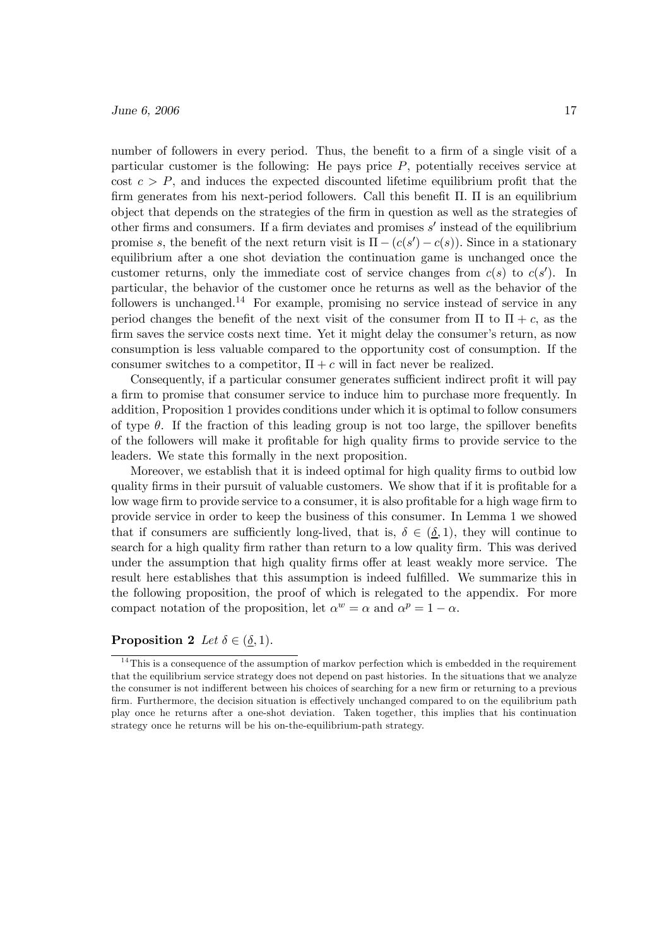number of followers in every period. Thus, the benefit to a firm of a single visit of a particular customer is the following: He pays price P, potentially receives service at cost  $c>P$ , and induces the expected discounted lifetime equilibrium profit that the firm generates from his next-period followers. Call this benefit  $\Pi$ .  $\Pi$  is an equilibrium object that depends on the strategies of the firm in question as well as the strategies of other firms and consumers. If a firm deviates and promises  $s'$  instead of the equilibrium promise s, the benefit of the next return visit is  $\Pi - (c(s') - c(s))$ . Since in a stationary equilibrium after a one shot deviation the continuation game is unchanged once the customer returns, only the immediate cost of service changes from  $c(s)$  to  $c(s')$ . In particular, the behavior of the customer once he returns as well as the behavior of the followers is unchanged.<sup>14</sup> For example, promising no service instead of service in any period changes the benefit of the next visit of the consumer from  $\Pi$  to  $\Pi + c$ , as the firm saves the service costs next time. Yet it might delay the consumer's return, as now consumption is less valuable compared to the opportunity cost of consumption. If the consumer switches to a competitor,  $\Pi + c$  will in fact never be realized.

Consequently, if a particular consumer generates sufficient indirect profit it will pay a firm to promise that consumer service to induce him to purchase more frequently. In addition, Proposition 1 provides conditions under which it is optimal to follow consumers of type  $\theta$ . If the fraction of this leading group is not too large, the spillover benefits of the followers will make it profitable for high quality firms to provide service to the leaders. We state this formally in the next proposition.

Moreover, we establish that it is indeed optimal for high quality firms to outbid low quality firms in their pursuit of valuable customers. We show that if it is profitable for a low wage firm to provide service to a consumer, it is also profitable for a high wage firm to provide service in order to keep the business of this consumer. In Lemma 1 we showed that if consumers are sufficiently long-lived, that is,  $\delta \in (\underline{\delta}, 1)$ , they will continue to search for a high quality firm rather than return to a low quality firm. This was derived under the assumption that high quality firms offer at least weakly more service. The result here establishes that this assumption is indeed fulfilled. We summarize this in the following proposition, the proof of which is relegated to the appendix. For more compact notation of the proposition, let  $\alpha^w = \alpha$  and  $\alpha^p = 1 - \alpha$ .

# **Proposition 2** Let  $\delta \in (\delta, 1)$ .

 $14$ This is a consequence of the assumption of markov perfection which is embedded in the requirement that the equilibrium service strategy does not depend on past histories. In the situations that we analyze the consumer is not indifferent between his choices of searching for a new firm or returning to a previous firm. Furthermore, the decision situation is effectively unchanged compared to on the equilibrium path play once he returns after a one-shot deviation. Taken together, this implies that his continuation strategy once he returns will be his on-the-equilibrium-path strategy.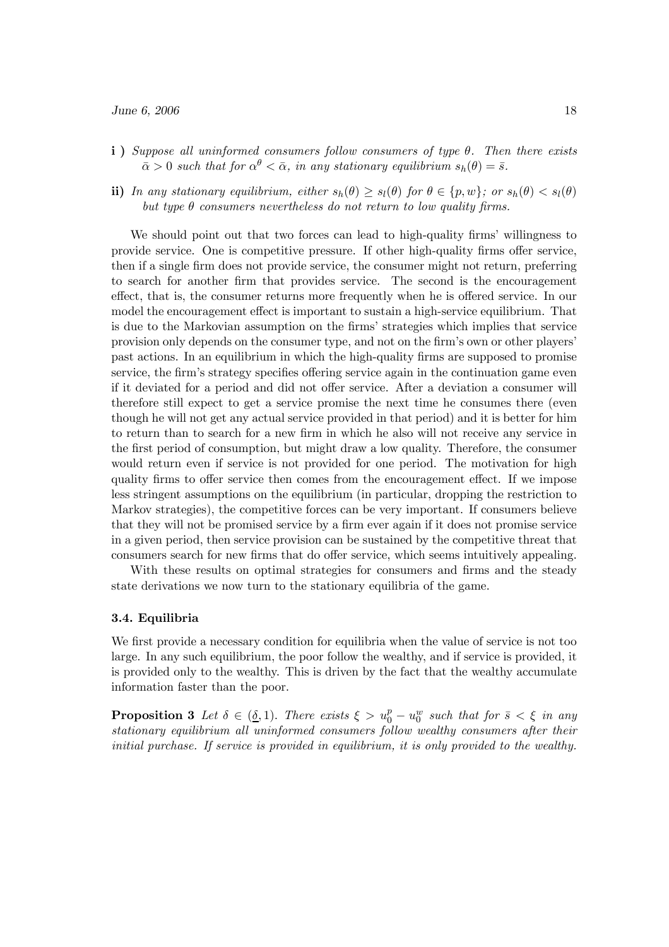- i) Suppose all uninformed consumers follow consumers of type  $\theta$ . Then there exists  $\bar{\alpha} > 0$  such that for  $\alpha^{\theta} < \bar{\alpha}$ , in any stationary equilibrium  $s_h(\theta) = \bar{s}$ .
- ii) In any stationary equilibrium, either  $s_h(\theta) \geq s_l(\theta)$  for  $\theta \in \{p, w\}$ ; or  $s_h(\theta) < s_l(\theta)$ but type  $\theta$  consumers nevertheless do not return to low quality firms.

We should point out that two forces can lead to high-quality firms' willingness to provide service. One is competitive pressure. If other high-quality firms offer service, then if a single firm does not provide service, the consumer might not return, preferring to search for another firm that provides service. The second is the encouragement effect, that is, the consumer returns more frequently when he is offered service. In our model the encouragement effect is important to sustain a high-service equilibrium. That is due to the Markovian assumption on the firms' strategies which implies that service provision only depends on the consumer type, and not on the firm's own or other players' past actions. In an equilibrium in which the high-quality firms are supposed to promise service, the firm's strategy specifies offering service again in the continuation game even if it deviated for a period and did not offer service. After a deviation a consumer will therefore still expect to get a service promise the next time he consumes there (even though he will not get any actual service provided in that period) and it is better for him to return than to search for a new firm in which he also will not receive any service in the first period of consumption, but might draw a low quality. Therefore, the consumer would return even if service is not provided for one period. The motivation for high quality firms to offer service then comes from the encouragement effect. If we impose less stringent assumptions on the equilibrium (in particular, dropping the restriction to Markov strategies), the competitive forces can be very important. If consumers believe that they will not be promised service by a firm ever again if it does not promise service in a given period, then service provision can be sustained by the competitive threat that consumers search for new firms that do offer service, which seems intuitively appealing.

With these results on optimal strategies for consumers and firms and the steady state derivations we now turn to the stationary equilibria of the game.

#### 3.4. Equilibria

We first provide a necessary condition for equilibria when the value of service is not too large. In any such equilibrium, the poor follow the wealthy, and if service is provided, it is provided only to the wealthy. This is driven by the fact that the wealthy accumulate information faster than the poor.

**Proposition 3** Let  $\delta \in (\underline{\delta}, 1)$ . There exists  $\xi > u_0^p - u_0^w$  such that for  $\overline{s} < \xi$  in any stationary equilibrium all uninformed consumers follow wealthy consumers after their initial purchase. If service is provided in equilibrium, it is only provided to the wealthy.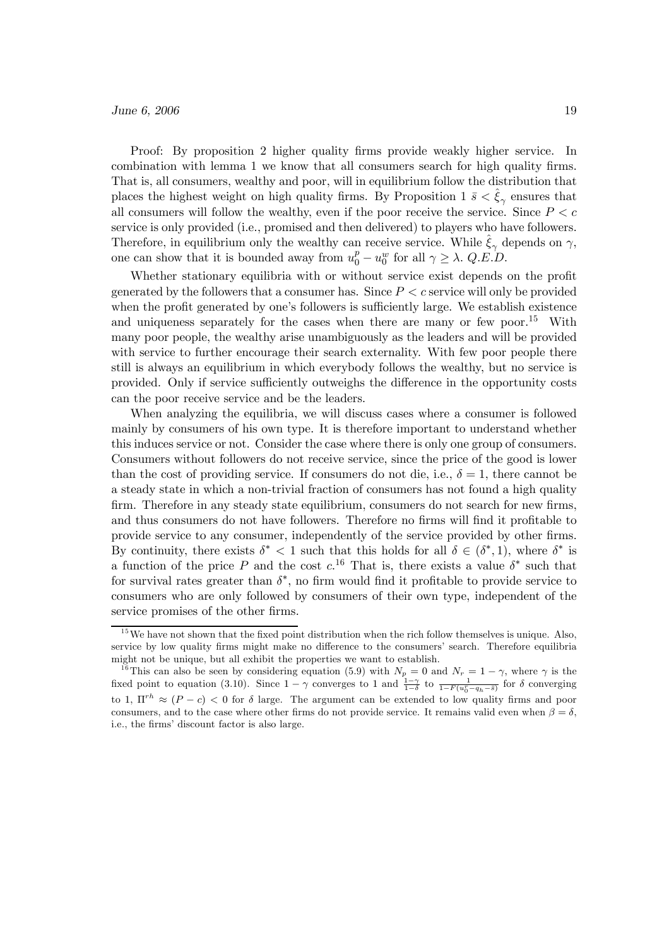Proof: By proposition 2 higher quality firms provide weakly higher service. In combination with lemma 1 we know that all consumers search for high quality firms. That is, all consumers, wealthy and poor, will in equilibrium follow the distribution that places the highest weight on high quality firms. By Proposition 1  $\bar{s} < \hat{\xi}_{\gamma}$  ensures that all consumers will follow the wealthy, even if the poor receive the service. Since  $P < c$ service is only provided (i.e., promised and then delivered) to players who have followers. Therefore, in equilibrium only the wealthy can receive service. While  $\hat{\xi}_{\gamma}$  depends on  $\gamma$ , one can show that it is bounded away from  $u_0^p - u_0^w$  for all  $\gamma \geq \lambda$ . Q.E.D.

Whether stationary equilibria with or without service exist depends on the profit generated by the followers that a consumer has. Since  $P \leq c$  service will only be provided when the profit generated by one's followers is sufficiently large. We establish existence and uniqueness separately for the cases when there are many or few poor.<sup>15</sup> With many poor people, the wealthy arise unambiguously as the leaders and will be provided with service to further encourage their search externality. With few poor people there still is always an equilibrium in which everybody follows the wealthy, but no service is provided. Only if service sufficiently outweighs the difference in the opportunity costs can the poor receive service and be the leaders.

When analyzing the equilibria, we will discuss cases where a consumer is followed mainly by consumers of his own type. It is therefore important to understand whether this induces service or not. Consider the case where there is only one group of consumers. Consumers without followers do not receive service, since the price of the good is lower than the cost of providing service. If consumers do not die, i.e.,  $\delta = 1$ , there cannot be a steady state in which a non-trivial fraction of consumers has not found a high quality firm. Therefore in any steady state equilibrium, consumers do not search for new firms, and thus consumers do not have followers. Therefore no firms will find it profitable to provide service to any consumer, independently of the service provided by other firms. By continuity, there exists  $\delta^*$  < 1 such that this holds for all  $\delta \in (\delta^*, 1)$ , where  $\delta^*$  is a function of the price P and the cost  $c^{16}$ . That is, there exists a value  $\delta^*$  such that for survival rates greater than  $\delta^*$ , no firm would find it profitable to provide service to consumers who are only followed by consumers of their own type, independent of the service promises of the other firms.

 $15$  We have not shown that the fixed point distribution when the rich follow themselves is unique. Also, service by low quality firms might make no difference to the consumers' search. Therefore equilibria might not be unique, but all exhibit the properties we want to establish.

<sup>&</sup>lt;sup>16</sup>This can also be seen by considering equation (5.9) with  $N_p = 0$  and  $N_r = 1 - \gamma$ , where  $\gamma$  is the fixed point to equation (3.10). Since  $1 - \gamma$  converges to 1 and  $\frac{1-\gamma}{1-\delta}$  to  $\frac{1}{1-F(u_0^r-q_h-\bar{s})}$  for  $\delta$  converging to 1,  $\prod^{rh} \approx (P - c) < 0$  for  $\delta$  large. The argument can be extended to low quality firms and poor consumers, and to the case where other firms do not provide service. It remains valid even when  $\beta = \delta$ , i.e., the firms' discount factor is also large.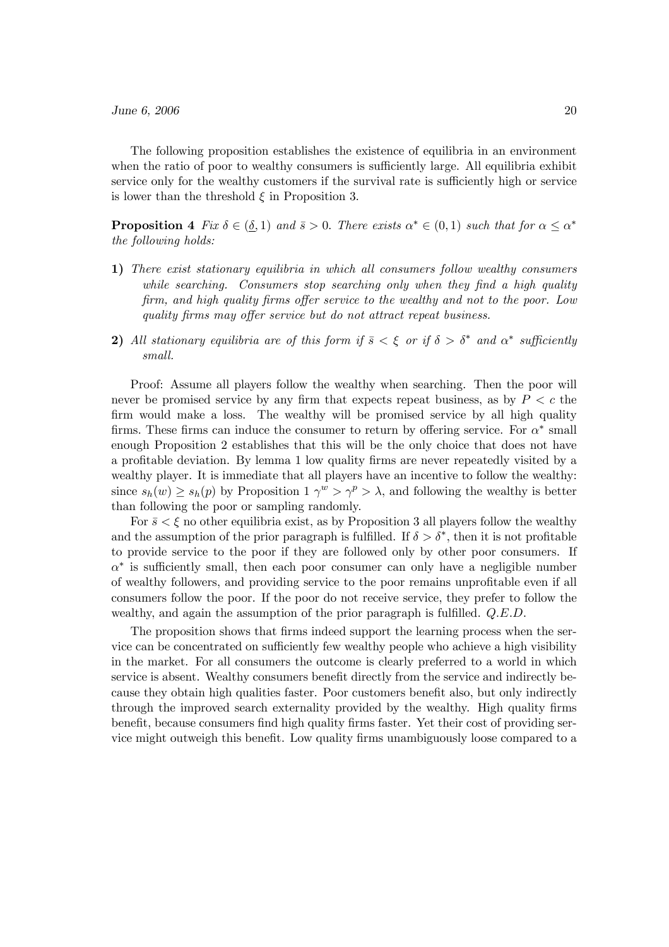The following proposition establishes the existence of equilibria in an environment when the ratio of poor to wealthy consumers is sufficiently large. All equilibria exhibit service only for the wealthy customers if the survival rate is sufficiently high or service is lower than the threshold  $\xi$  in Proposition 3.

**Proposition 4** Fix  $\delta \in (\underline{\delta}, 1)$  and  $\overline{s} > 0$ . There exists  $\alpha^* \in (0, 1)$  such that for  $\alpha \leq \alpha^*$ the following holds:

- 1) There exist stationary equilibria in which all consumers follow wealthy consumers while searching. Consumers stop searching only when they find a high quality firm, and high quality firms offer service to the wealthy and not to the poor. Low quality firms may offer service but do not attract repeat business.
- 2) All stationary equilibria are of this form if  $\bar{s} < \xi$  or if  $\delta > \delta^*$  and  $\alpha^*$  sufficiently small.

Proof: Assume all players follow the wealthy when searching. Then the poor will never be promised service by any firm that expects repeat business, as by  $P < c$  the firm would make a loss. The wealthy will be promised service by all high quality firms. These firms can induce the consumer to return by offering service. For  $\alpha^*$  small enough Proposition 2 establishes that this will be the only choice that does not have a profitable deviation. By lemma 1 low quality firms are never repeatedly visited by a wealthy player. It is immediate that all players have an incentive to follow the wealthy: since  $s_h(w) \geq s_h(p)$  by Proposition  $1 \gamma^w > \gamma^p > \lambda$ , and following the wealthy is better than following the poor or sampling randomly.

For  $\bar{s} < \xi$  no other equilibria exist, as by Proposition 3 all players follow the wealthy and the assumption of the prior paragraph is fulfilled. If  $\delta > \delta^*$ , then it is not profitable to provide service to the poor if they are followed only by other poor consumers. If  $\alpha^*$  is sufficiently small, then each poor consumer can only have a negligible number of wealthy followers, and providing service to the poor remains unprofitable even if all consumers follow the poor. If the poor do not receive service, they prefer to follow the wealthy, and again the assumption of the prior paragraph is fulfilled.  $Q.E.D.$ 

The proposition shows that firms indeed support the learning process when the service can be concentrated on sufficiently few wealthy people who achieve a high visibility in the market. For all consumers the outcome is clearly preferred to a world in which service is absent. Wealthy consumers benefit directly from the service and indirectly because they obtain high qualities faster. Poor customers benefit also, but only indirectly through the improved search externality provided by the wealthy. High quality firms benefit, because consumers find high quality firms faster. Yet their cost of providing service might outweigh this benefit. Low quality firms unambiguously loose compared to a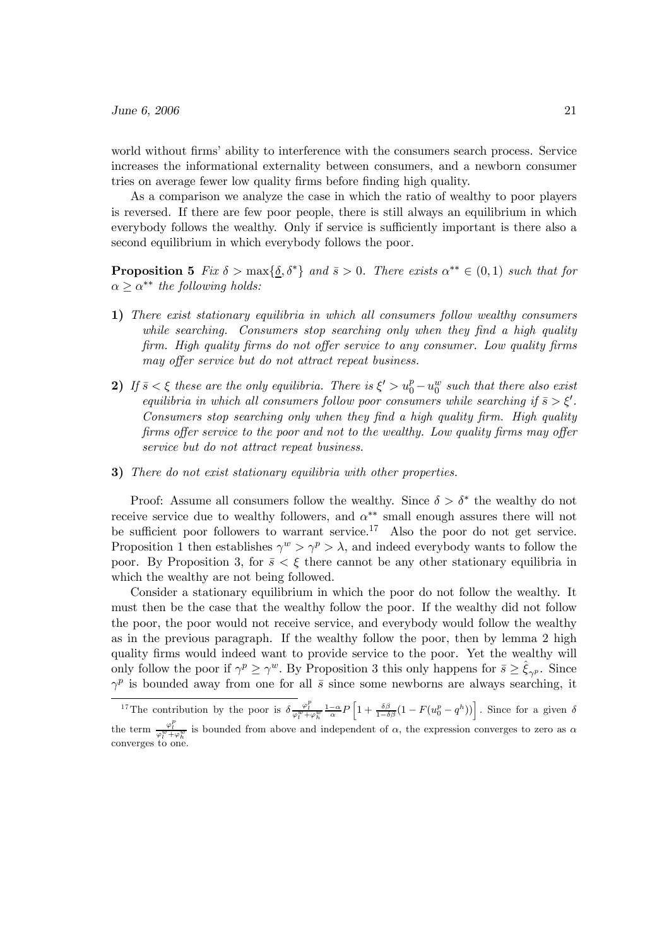world without firms' ability to interference with the consumers search process. Service increases the informational externality between consumers, and a newborn consumer tries on average fewer low quality firms before finding high quality.

As a comparison we analyze the case in which the ratio of wealthy to poor players is reversed. If there are few poor people, there is still always an equilibrium in which everybody follows the wealthy. Only if service is sufficiently important is there also a second equilibrium in which everybody follows the poor.

**Proposition 5** Fix  $\delta > \max{\{\delta, \delta^*\}}$  and  $\bar{s} > 0$ . There exists  $\alpha^{**} \in (0, 1)$  such that for  $\alpha \geq \alpha^{**}$  the following holds:

- 1) There exist stationary equilibria in which all consumers follow wealthy consumers while searching. Consumers stop searching only when they find a high quality firm. High quality firms do not offer service to any consumer. Low quality firms may offer service but do not attract repeat business.
- 2) If  $\bar{s} < \xi$  these are the only equilibria. There is  $\xi' > u_0^p u_0^w$  such that there also exist equilibria in which all consumers follow poor consumers while searching if  $\bar{s} > \xi'$ . Consumers stop searching only when they find a high quality firm. High quality firms offer service to the poor and not to the wealthy. Low quality firms may offer service but do not attract repeat business.
- 3) There do not exist stationary equilibria with other properties.

Proof: Assume all consumers follow the wealthy. Since  $\delta > \delta^*$  the wealthy do not receive service due to wealthy followers, and  $\alpha^{**}$  small enough assures there will not be sufficient poor followers to warrant service.<sup>17</sup> Also the poor do not get service. Proposition 1 then establishes  $\gamma^w > \gamma^p > \lambda$ , and indeed everybody wants to follow the poor. By Proposition 3, for  $\bar{s} < \xi$  there cannot be any other stationary equilibria in which the wealthy are not being followed.

Consider a stationary equilibrium in which the poor do not follow the wealthy. It must then be the case that the wealthy follow the poor. If the wealthy did not follow the poor, the poor would not receive service, and everybody would follow the wealthy as in the previous paragraph. If the wealthy follow the poor, then by lemma 2 high quality firms would indeed want to provide service to the poor. Yet the wealthy will only follow the poor if  $\gamma^p \geq \gamma^w$ . By Proposition 3 this only happens for  $\bar{s} \geq \hat{\xi}_{\gamma^p}$ . Since  $\gamma^p$  is bounded away from one for all  $\bar{s}$  since some newborns are always searching, it

<sup>&</sup>lt;sup>17</sup>The contribution by the poor is  $\delta \frac{\varphi_l^p}{\varphi_l^w + \varphi_h^w} \frac{1-\alpha}{\alpha} P \left[ 1 + \frac{\delta \beta}{1-\delta \beta} (1 - F(u_0^p - q^h)) \right]$ . Since for a given  $\delta$ the term  $\frac{\varphi_l^p}{\varphi_l^w + \varphi_h^w}$  is bounded from above and independent of  $\alpha$ , the expression converges to zero as  $\alpha$  $\frac{r_l + r_k}{r_l}$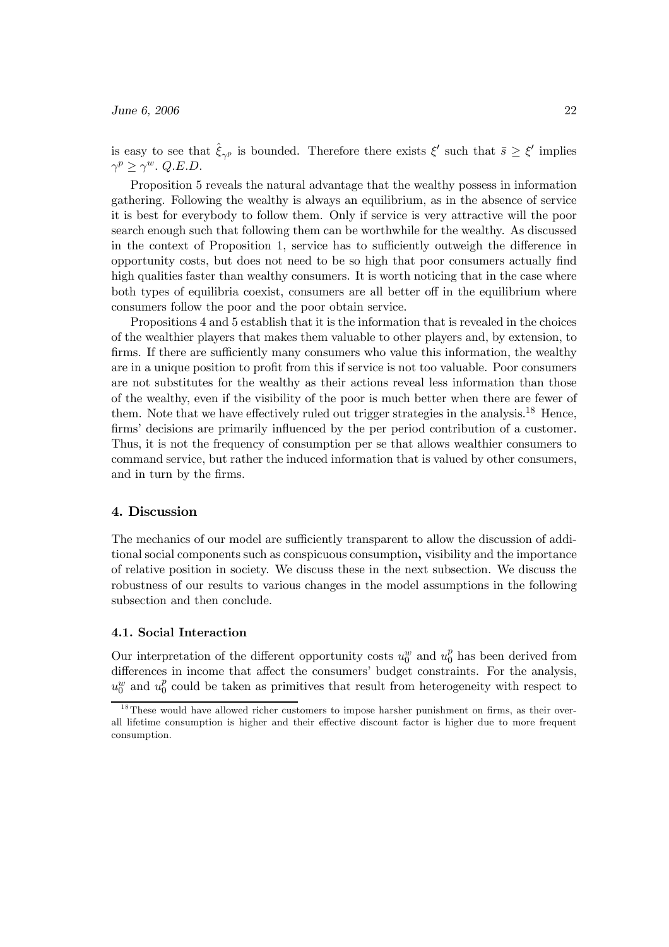is easy to see that  $\hat{\xi}_{\gamma p}$  is bounded. Therefore there exists  $\xi'$  such that  $\bar{s} \geq \xi'$  implies  $\gamma^p \geq \gamma^w$ . Q.E.D.

Proposition 5 reveals the natural advantage that the wealthy possess in information gathering. Following the wealthy is always an equilibrium, as in the absence of service it is best for everybody to follow them. Only if service is very attractive will the poor search enough such that following them can be worthwhile for the wealthy. As discussed in the context of Proposition 1, service has to sufficiently outweigh the difference in opportunity costs, but does not need to be so high that poor consumers actually find high qualities faster than wealthy consumers. It is worth noticing that in the case where both types of equilibria coexist, consumers are all better off in the equilibrium where consumers follow the poor and the poor obtain service.

Propositions 4 and 5 establish that it is the information that is revealed in the choices of the wealthier players that makes them valuable to other players and, by extension, to firms. If there are sufficiently many consumers who value this information, the wealthy are in a unique position to profit from this if service is not too valuable. Poor consumers are not substitutes for the wealthy as their actions reveal less information than those of the wealthy, even if the visibility of the poor is much better when there are fewer of them. Note that we have effectively ruled out trigger strategies in the analysis.<sup>18</sup> Hence, firms' decisions are primarily influenced by the per period contribution of a customer. Thus, it is not the frequency of consumption per se that allows wealthier consumers to command service, but rather the induced information that is valued by other consumers, and in turn by the firms.

# 4. Discussion

The mechanics of our model are sufficiently transparent to allow the discussion of additional social components such as conspicuous consumption, visibility and the importance of relative position in society. We discuss these in the next subsection. We discuss the robustness of our results to various changes in the model assumptions in the following subsection and then conclude.

# 4.1. Social Interaction

Our interpretation of the different opportunity costs  $u_0^w$  and  $u_0^p$  has been derived from differences in income that affect the consumers' budget constraints. For the analysis,  $u_0^w$  and  $u_0^p$  could be taken as primitives that result from heterogeneity with respect to

 $18$ These would have allowed richer customers to impose harsher punishment on firms, as their overall lifetime consumption is higher and their effective discount factor is higher due to more frequent consumption.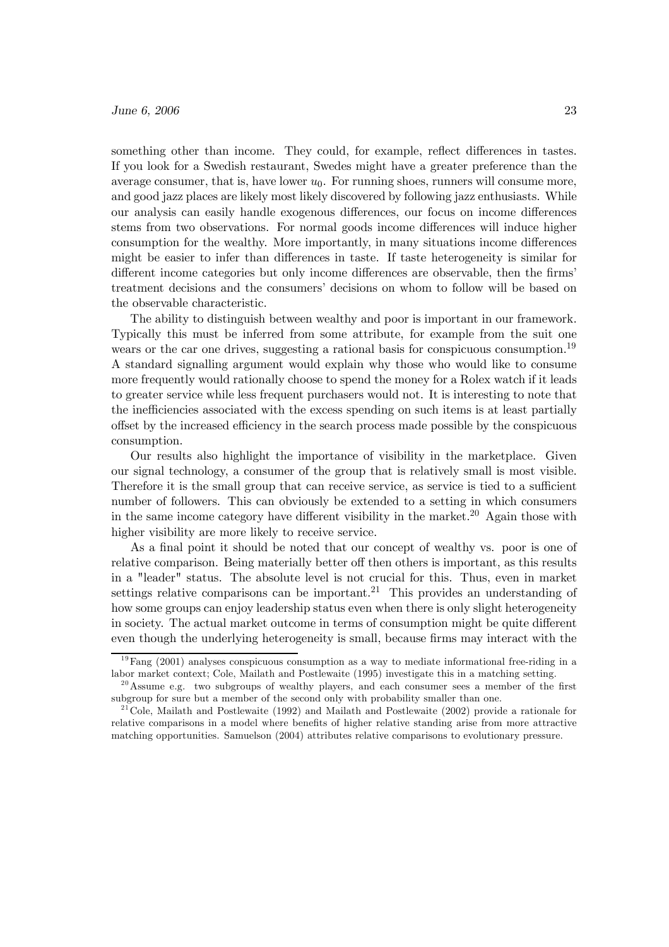something other than income. They could, for example, reflect differences in tastes. If you look for a Swedish restaurant, Swedes might have a greater preference than the average consumer, that is, have lower  $u_0$ . For running shoes, runners will consume more, and good jazz places are likely most likely discovered by following jazz enthusiasts. While our analysis can easily handle exogenous differences, our focus on income differences stems from two observations. For normal goods income differences will induce higher consumption for the wealthy. More importantly, in many situations income differences might be easier to infer than differences in taste. If taste heterogeneity is similar for different income categories but only income differences are observable, then the firms' treatment decisions and the consumers' decisions on whom to follow will be based on the observable characteristic.

The ability to distinguish between wealthy and poor is important in our framework. Typically this must be inferred from some attribute, for example from the suit one wears or the car one drives, suggesting a rational basis for conspicuous consumption.<sup>19</sup> A standard signalling argument would explain why those who would like to consume more frequently would rationally choose to spend the money for a Rolex watch if it leads to greater service while less frequent purchasers would not. It is interesting to note that the inefficiencies associated with the excess spending on such items is at least partially offset by the increased efficiency in the search process made possible by the conspicuous consumption.

Our results also highlight the importance of visibility in the marketplace. Given our signal technology, a consumer of the group that is relatively small is most visible. Therefore it is the small group that can receive service, as service is tied to a sufficient number of followers. This can obviously be extended to a setting in which consumers in the same income category have different visibility in the market.<sup>20</sup> Again those with higher visibility are more likely to receive service.

As a final point it should be noted that our concept of wealthy vs. poor is one of relative comparison. Being materially better off then others is important, as this results in a "leader" status. The absolute level is not crucial for this. Thus, even in market settings relative comparisons can be important.<sup>21</sup> This provides an understanding of how some groups can enjoy leadership status even when there is only slight heterogeneity in society. The actual market outcome in terms of consumption might be quite different even though the underlying heterogeneity is small, because firms may interact with the

 $19$ Fang (2001) analyses conspicuous consumption as a way to mediate informational free-riding in a labor market context; Cole, Mailath and Postlewaite (1995) investigate this in a matching setting.

 $^{20}$ Assume e.g. two subgroups of wealthy players, and each consumer sees a member of the first subgroup for sure but a member of the second only with probability smaller than one.

 $21$ Cole, Mailath and Postlewaite (1992) and Mailath and Postlewaite (2002) provide a rationale for relative comparisons in a model where benefits of higher relative standing arise from more attractive matching opportunities. Samuelson (2004) attributes relative comparisons to evolutionary pressure.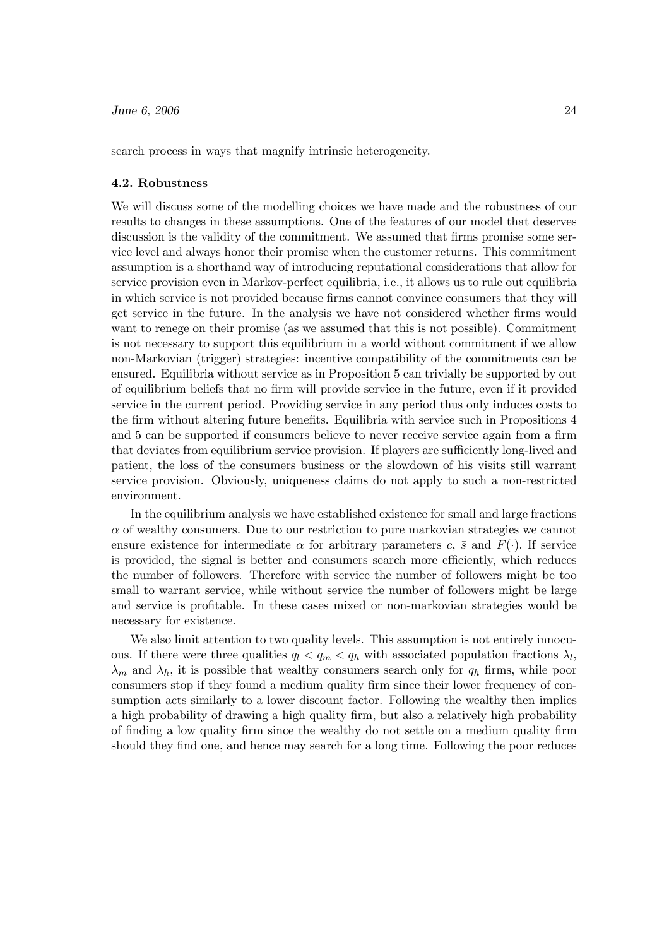search process in ways that magnify intrinsic heterogeneity.

### 4.2. Robustness

We will discuss some of the modelling choices we have made and the robustness of our results to changes in these assumptions. One of the features of our model that deserves discussion is the validity of the commitment. We assumed that firms promise some service level and always honor their promise when the customer returns. This commitment assumption is a shorthand way of introducing reputational considerations that allow for service provision even in Markov-perfect equilibria, i.e., it allows us to rule out equilibria in which service is not provided because firms cannot convince consumers that they will get service in the future. In the analysis we have not considered whether firms would want to renege on their promise (as we assumed that this is not possible). Commitment is not necessary to support this equilibrium in a world without commitment if we allow non-Markovian (trigger) strategies: incentive compatibility of the commitments can be ensured. Equilibria without service as in Proposition 5 can trivially be supported by out of equilibrium beliefs that no firm will provide service in the future, even if it provided service in the current period. Providing service in any period thus only induces costs to the firm without altering future benefits. Equilibria with service such in Propositions 4 and 5 can be supported if consumers believe to never receive service again from a firm that deviates from equilibrium service provision. If players are sufficiently long-lived and patient, the loss of the consumers business or the slowdown of his visits still warrant service provision. Obviously, uniqueness claims do not apply to such a non-restricted environment.

In the equilibrium analysis we have established existence for small and large fractions  $\alpha$  of wealthy consumers. Due to our restriction to pure markovian strategies we cannot ensure existence for intermediate  $\alpha$  for arbitrary parameters c,  $\bar{s}$  and  $F(\cdot)$ . If service is provided, the signal is better and consumers search more efficiently, which reduces the number of followers. Therefore with service the number of followers might be too small to warrant service, while without service the number of followers might be large and service is profitable. In these cases mixed or non-markovian strategies would be necessary for existence.

We also limit attention to two quality levels. This assumption is not entirely innocuous. If there were three qualities  $q_l < q_m < q_h$  with associated population fractions  $\lambda_l$ ,  $\lambda_m$  and  $\lambda_h$ , it is possible that wealthy consumers search only for  $q_h$  firms, while poor consumers stop if they found a medium quality firm since their lower frequency of consumption acts similarly to a lower discount factor. Following the wealthy then implies a high probability of drawing a high quality firm, but also a relatively high probability of finding a low quality firm since the wealthy do not settle on a medium quality firm should they find one, and hence may search for a long time. Following the poor reduces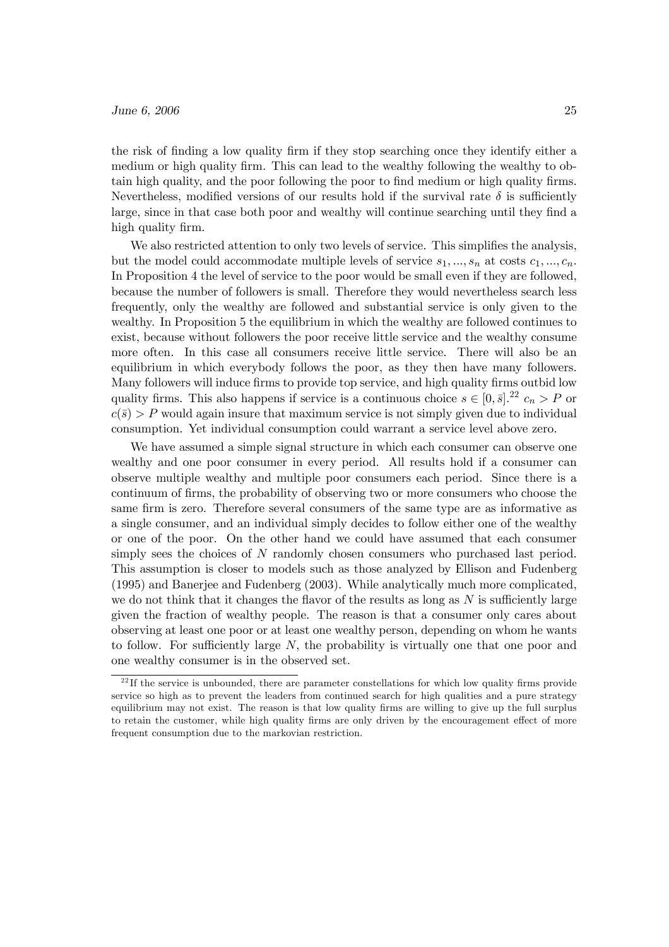## $\mu$  June 6, 2006 25

the risk of finding a low quality firm if they stop searching once they identify either a medium or high quality firm. This can lead to the wealthy following the wealthy to obtain high quality, and the poor following the poor to find medium or high quality firms. Nevertheless, modified versions of our results hold if the survival rate  $\delta$  is sufficiently large, since in that case both poor and wealthy will continue searching until they find a high quality firm.

We also restricted attention to only two levels of service. This simplifies the analysis, but the model could accommodate multiple levels of service  $s_1, ..., s_n$  at costs  $c_1, ..., c_n$ . In Proposition 4 the level of service to the poor would be small even if they are followed, because the number of followers is small. Therefore they would nevertheless search less frequently, only the wealthy are followed and substantial service is only given to the wealthy. In Proposition 5 the equilibrium in which the wealthy are followed continues to exist, because without followers the poor receive little service and the wealthy consume more often. In this case all consumers receive little service. There will also be an equilibrium in which everybody follows the poor, as they then have many followers. Many followers will induce firms to provide top service, and high quality firms outbid low quality firms. This also happens if service is a continuous choice  $s \in [0, \bar{s}]$ .<sup>22</sup>  $c_n > P$  or  $c(\bar{s}) > P$  would again insure that maximum service is not simply given due to individual consumption. Yet individual consumption could warrant a service level above zero.

We have assumed a simple signal structure in which each consumer can observe one wealthy and one poor consumer in every period. All results hold if a consumer can observe multiple wealthy and multiple poor consumers each period. Since there is a continuum of firms, the probability of observing two or more consumers who choose the same firm is zero. Therefore several consumers of the same type are as informative as a single consumer, and an individual simply decides to follow either one of the wealthy or one of the poor. On the other hand we could have assumed that each consumer simply sees the choices of N randomly chosen consumers who purchased last period. This assumption is closer to models such as those analyzed by Ellison and Fudenberg (1995) and Banerjee and Fudenberg (2003). While analytically much more complicated, we do not think that it changes the flavor of the results as long as  $N$  is sufficiently large given the fraction of wealthy people. The reason is that a consumer only cares about observing at least one poor or at least one wealthy person, depending on whom he wants to follow. For sufficiently large  $N$ , the probability is virtually one that one poor and one wealthy consumer is in the observed set.

 $22$  If the service is unbounded, there are parameter constellations for which low quality firms provide service so high as to prevent the leaders from continued search for high qualities and a pure strategy equilibrium may not exist. The reason is that low quality firms are willing to give up the full surplus to retain the customer, while high quality firms are only driven by the encouragement effect of more frequent consumption due to the markovian restriction.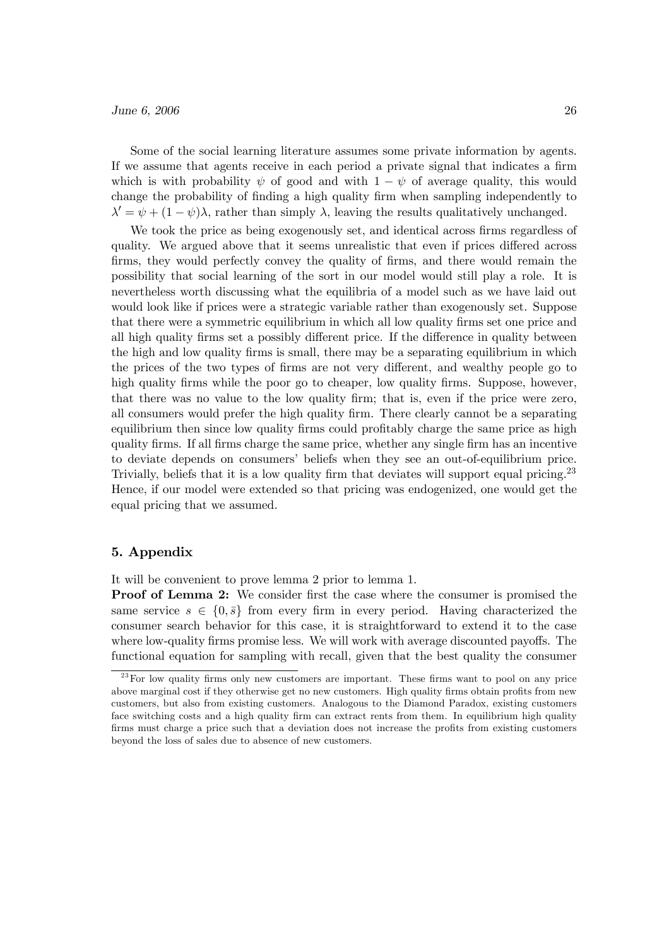Some of the social learning literature assumes some private information by agents. If we assume that agents receive in each period a private signal that indicates a firm which is with probability  $\psi$  of good and with  $1 - \psi$  of average quality, this would change the probability of finding a high quality firm when sampling independently to  $\lambda' = \psi + (1 - \psi)\lambda$ , rather than simply  $\lambda$ , leaving the results qualitatively unchanged.

We took the price as being exogenously set, and identical across firms regardless of quality. We argued above that it seems unrealistic that even if prices differed across firms, they would perfectly convey the quality of firms, and there would remain the possibility that social learning of the sort in our model would still play a role. It is nevertheless worth discussing what the equilibria of a model such as we have laid out would look like if prices were a strategic variable rather than exogenously set. Suppose that there were a symmetric equilibrium in which all low quality firms set one price and all high quality firms set a possibly different price. If the difference in quality between the high and low quality firms is small, there may be a separating equilibrium in which the prices of the two types of firms are not very different, and wealthy people go to high quality firms while the poor go to cheaper, low quality firms. Suppose, however, that there was no value to the low quality firm; that is, even if the price were zero, all consumers would prefer the high quality firm. There clearly cannot be a separating equilibrium then since low quality firms could profitably charge the same price as high quality firms. If all firms charge the same price, whether any single firm has an incentive to deviate depends on consumers' beliefs when they see an out-of-equilibrium price. Trivially, beliefs that it is a low quality firm that deviates will support equal pricing.<sup>23</sup> Hence, if our model were extended so that pricing was endogenized, one would get the equal pricing that we assumed.

# 5. Appendix

It will be convenient to prove lemma 2 prior to lemma 1.

Proof of Lemma 2: We consider first the case where the consumer is promised the same service  $s \in \{0, \overline{s}\}\$ from every firm in every period. Having characterized the consumer search behavior for this case, it is straightforward to extend it to the case where low-quality firms promise less. We will work with average discounted payoffs. The functional equation for sampling with recall, given that the best quality the consumer

<sup>&</sup>lt;sup>23</sup> For low quality firms only new customers are important. These firms want to pool on any price above marginal cost if they otherwise get no new customers. High quality firms obtain profits from new customers, but also from existing customers. Analogous to the Diamond Paradox, existing customers face switching costs and a high quality firm can extract rents from them. In equilibrium high quality firms must charge a price such that a deviation does not increase the profits from existing customers beyond the loss of sales due to absence of new customers.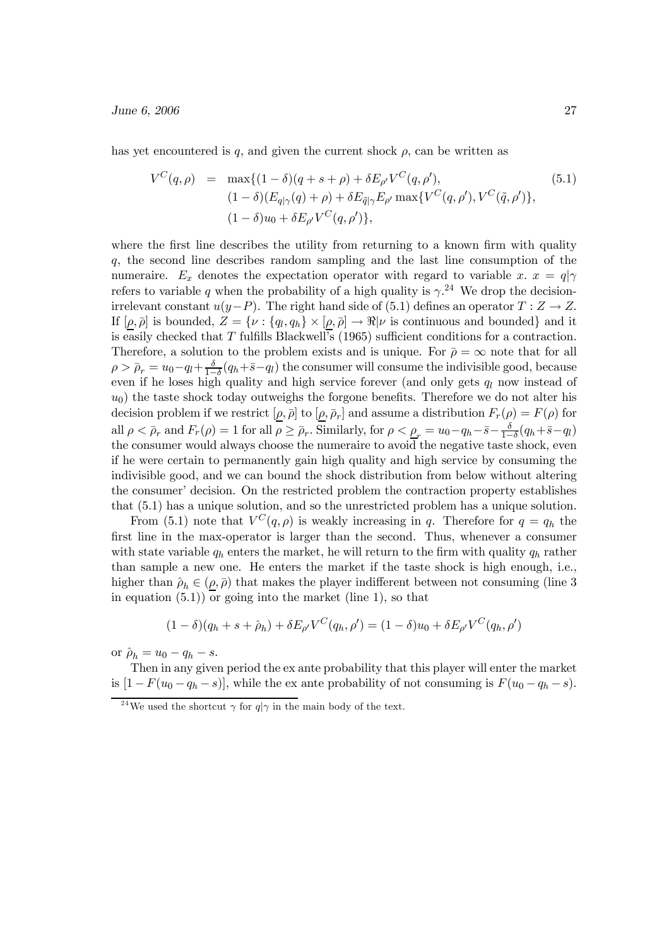has yet encountered is q, and given the current shock  $\rho$ , can be written as

$$
V^{C}(q, \rho) = \max\{(1-\delta)(q+s+\rho) + \delta E_{\rho'} V^{C}(q, \rho'), \qquad (5.1)
$$
  

$$
(1-\delta)(E_{q|\gamma}(q)+\rho) + \delta E_{\tilde{q}|\gamma} E_{\rho'} \max\{V^{C}(q, \rho'), V^{C}(\tilde{q}, \rho')\},\qquad (1-\delta)u_{0} + \delta E_{\rho'} V^{C}(q, \rho')\},
$$

where the first line describes the utility from returning to a known firm with quality q, the second line describes random sampling and the last line consumption of the numeraire.  $E_x$  denotes the expectation operator with regard to variable x.  $x = q|\gamma$ refers to variable q when the probability of a high quality is  $\gamma$ <sup>24</sup>. We drop the decisionirrelevant constant  $u(y-P)$ . The right hand side of (5.1) defines an operator  $T : Z \to Z$ . If  $[\rho, \bar{\rho}]$  is bounded,  $Z = {\nu : \{q_l, q_h\} \times [\rho, \bar{\rho}] \to \Re|\nu}$  is continuous and bounded} and it is easily checked that T fulfills Blackwell's (1965) sufficient conditions for a contraction. Therefore, a solution to the problem exists and is unique. For  $\bar{\rho} = \infty$  note that for all  $\rho > \bar{\rho}_r = u_0 - q_l + \frac{\delta}{1-\delta}(q_h + \bar{s}-q_l)$  the consumer will consume the indivisible good, because even if he loses high quality and high service forever (and only gets  $q_l$  now instead of  $u_0$ ) the taste shock today outweighs the forgone benefits. Therefore we do not alter his decision problem if we restrict  $[\rho, \bar{\rho}]$  to  $[\rho, \bar{\rho}_r]$  and assume a distribution  $F_r(\rho) = F(\rho)$  for all  $\rho < \bar{\rho}_r$  and  $F_r(\rho) = 1$  for all  $\rho \geq \bar{\rho}_r$ . Similarly, for  $\rho < \rho_r = u_0 - q_h - \bar{s} - \frac{\delta}{1-\delta}(q_h + \bar{s} - q_l)$ the consumer would always choose the numeraire to avoid the negative taste shock, even if he were certain to permanently gain high quality and high service by consuming the indivisible good, and we can bound the shock distribution from below without altering the consumer' decision. On the restricted problem the contraction property establishes that (5.1) has a unique solution, and so the unrestricted problem has a unique solution.

From (5.1) note that  $V^C(q, \rho)$  is weakly increasing in q. Therefore for  $q = q_h$  the first line in the max-operator is larger than the second. Thus, whenever a consumer with state variable  $q_h$  enters the market, he will return to the firm with quality  $q_h$  rather than sample a new one. He enters the market if the taste shock is high enough, i.e., higher than  $\rho_h \in (\rho, \bar{\rho})$  that makes the player indifferent between not consuming (line 3 in equation  $(5.1)$  or going into the market (line 1), so that

$$
(1 - \delta)(q_h + s + \hat{\rho}_h) + \delta E_{\rho'} V^C(q_h, \rho') = (1 - \delta)u_0 + \delta E_{\rho'} V^C(q_h, \rho')
$$

or  $\hat{\rho}_h = u_0 - q_h - s$ .

Then in any given period the ex ante probability that this player will enter the market is  $[1 - F(u_0 - q_h - s)]$ , while the ex ante probability of not consuming is  $F(u_0 - q_h - s)$ .

<sup>&</sup>lt;sup>24</sup>We used the shortcut  $\gamma$  for  $q|\gamma$  in the main body of the text.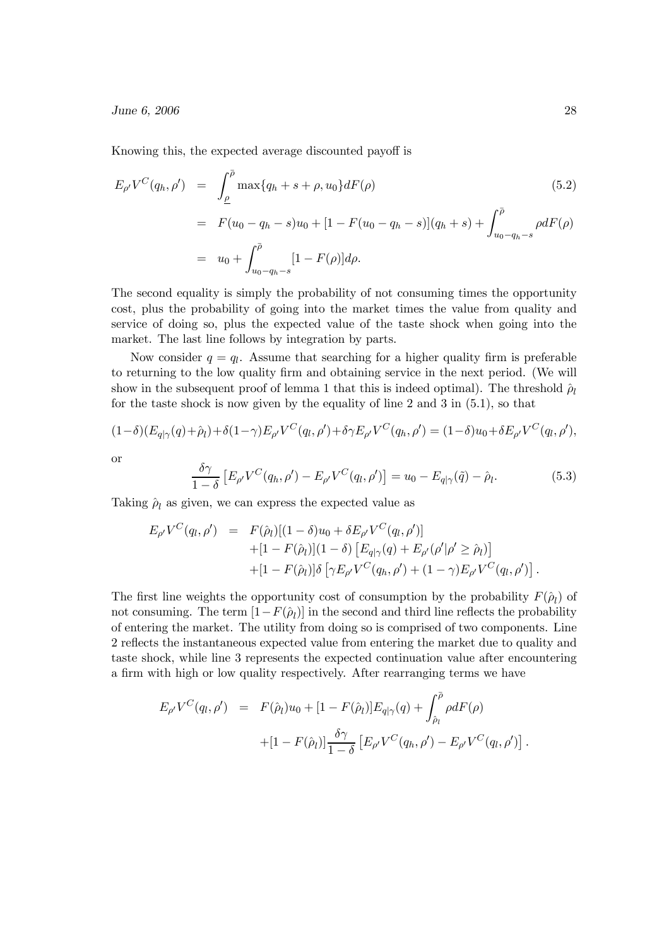Knowing this, the expected average discounted payoff is

$$
E_{\rho'}V^C(q_h, \rho') = \int_{\rho}^{\bar{\rho}} \max\{q_h + s + \rho, u_0\} dF(\rho)
$$
(5.2)  
=  $F(u_0 - q_h - s)u_0 + [1 - F(u_0 - q_h - s)](q_h + s) + \int_{u_0 - q_h - s}^{\bar{\rho}} \rho dF(\rho)$   
=  $u_0 + \int_{u_0 - q_h - s}^{\bar{\rho}} [1 - F(\rho)] d\rho.$ 

The second equality is simply the probability of not consuming times the opportunity cost, plus the probability of going into the market times the value from quality and service of doing so, plus the expected value of the taste shock when going into the market. The last line follows by integration by parts.

Now consider  $q = q_l$ . Assume that searching for a higher quality firm is preferable to returning to the low quality firm and obtaining service in the next period. (We will show in the subsequent proof of lemma 1 that this is indeed optimal). The threshold  $\hat{\rho}_l$ for the taste shock is now given by the equality of line 2 and 3 in (5.1), so that

$$
(1 - \delta)(E_{q|\gamma}(q) + \hat{\rho}_l) + \delta(1 - \gamma)E_{\rho'}V^C(q_l, \rho') + \delta\gamma E_{\rho'}V^C(q_h, \rho') = (1 - \delta)u_0 + \delta E_{\rho'}V^C(q_l, \rho'),
$$

or

$$
\frac{\delta \gamma}{1-\delta} \left[ E_{\rho'} V^C(q_h, \rho') - E_{\rho'} V^C(q_l, \rho') \right] = u_0 - E_{q|\gamma}(\tilde{q}) - \hat{\rho}_l. \tag{5.3}
$$

Taking  $\rho_l$  as given, we can express the expected value as

$$
E_{\rho'}V^C(q_l, \rho') = F(\hat{\rho}_l)[(1-\delta)u_0 + \delta E_{\rho'}V^C(q_l, \rho')]+ [1 - F(\hat{\rho}_l)](1-\delta) [E_{q|\gamma}(q) + E_{\rho'}(\rho'|\rho' \ge \hat{\rho}_l)]+ [1 - F(\hat{\rho}_l)]\delta [\gamma E_{\rho'}V^C(q_h, \rho') + (1-\gamma)E_{\rho'}V^C(q_l, \rho')].
$$

The first line weights the opportunity cost of consumption by the probability  $F(\hat{\rho}_l)$  of not consuming. The term  $[1-F(\hat{\rho}_l)]$  in the second and third line reflects the probability of entering the market. The utility from doing so is comprised of two components. Line 2 reflects the instantaneous expected value from entering the market due to quality and taste shock, while line 3 represents the expected continuation value after encountering a firm with high or low quality respectively. After rearranging terms we have

$$
E_{\rho'}V^{C}(q_{l},\rho') = F(\hat{\rho}_{l})u_{0} + [1 - F(\hat{\rho}_{l})]E_{q|\gamma}(q) + \int_{\hat{\rho}_{l}}^{\bar{\rho}} \rho dF(\rho) + [1 - F(\hat{\rho}_{l})]\frac{\delta\gamma}{1 - \delta} \left[E_{\rho'}V^{C}(q_{h},\rho') - E_{\rho'}V^{C}(q_{l},\rho')\right]
$$

.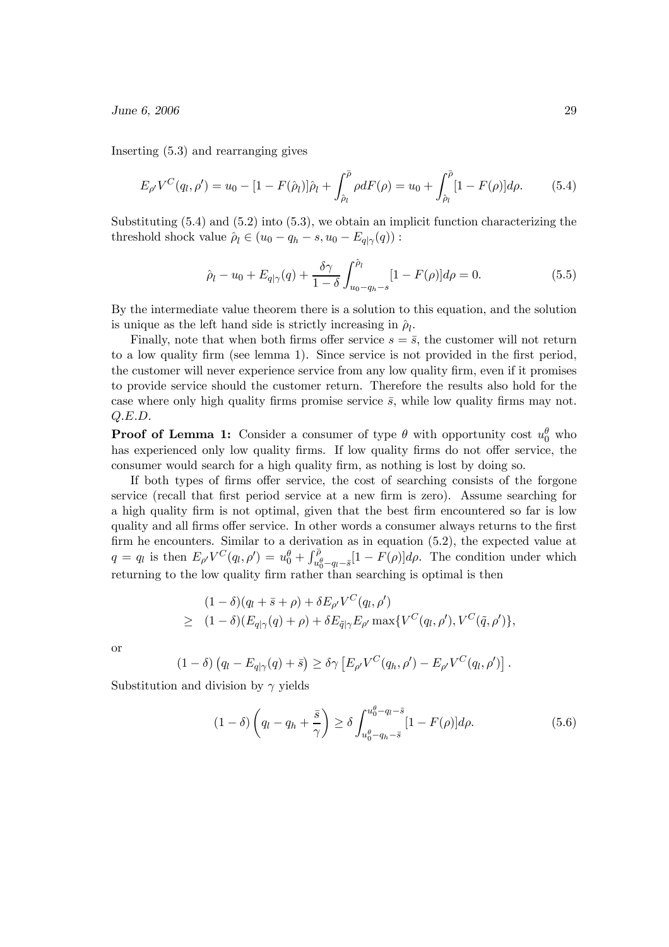$\mu$  June 6, 2006 29

Inserting (5.3) and rearranging gives

$$
E_{\rho'}V^C(q_l, \rho') = u_0 - [1 - F(\hat{\rho}_l)]\hat{\rho}_l + \int_{\hat{\rho}_l}^{\bar{\rho}} \rho dF(\rho) = u_0 + \int_{\hat{\rho}_l}^{\bar{\rho}} [1 - F(\rho)] d\rho.
$$
 (5.4)

Substituting (5.4) and (5.2) into (5.3), we obtain an implicit function characterizing the threshold shock value  $\hat{\rho}_l \in (u_0 - q_h - s, u_0 - E_{q|\gamma}(q))$ :

$$
\hat{\rho}_l - u_0 + E_{q|\gamma}(q) + \frac{\delta \gamma}{1 - \delta} \int_{u_0 - q_h - s}^{\hat{\rho}_l} [1 - F(\rho)] d\rho = 0.
$$
\n(5.5)

By the intermediate value theorem there is a solution to this equation, and the solution is unique as the left hand side is strictly increasing in  $\hat{\rho}_l$ .

Finally, note that when both firms offer service  $s = \bar{s}$ , the customer will not return to a low quality firm (see lemma 1). Since service is not provided in the first period, the customer will never experience service from any low quality firm, even if it promises to provide service should the customer return. Therefore the results also hold for the case where only high quality firms promise service  $\bar{s}$ , while low quality firms may not. Q.E.D.

**Proof of Lemma 1:** Consider a consumer of type  $\theta$  with opportunity cost  $u_0^{\theta}$  who has experienced only low quality firms. If low quality firms do not offer service, the consumer would search for a high quality firm, as nothing is lost by doing so.

If both types of firms offer service, the cost of searching consists of the forgone service (recall that first period service at a new firm is zero). Assume searching for a high quality firm is not optimal, given that the best firm encountered so far is low quality and all firms offer service. In other words a consumer always returns to the first firm he encounters. Similar to a derivation as in equation (5.2), the expected value at  $q = q_l$  is then  $E_{\rho'}V^C(q_l, \rho') = u_0^{\theta} + \int_{u_0^{\theta} - q_l - \bar{s}}^{\bar{\rho}} [1 - F(\rho)] d\rho$ . The condition under which returning to the low quality firm rather than searching is optimal is then

$$
(1 - \delta)(q_l + \bar{s} + \rho) + \delta E_{\rho'} V^C(q_l, \rho')
$$
  
\n
$$
\geq (1 - \delta)(E_{q|\gamma}(q) + \rho) + \delta E_{\tilde{q}|\gamma} E_{\rho'} \max\{V^C(q_l, \rho'), V^C(\tilde{q}, \rho')\},
$$

or

$$
(1 - \delta) (q_l - E_{q|\gamma}(q) + \bar{s}) \geq \delta \gamma \left[ E_{\rho'} V^C(q_h, \rho') - E_{\rho'} V^C(q_l, \rho') \right].
$$

Substitution and division by  $\gamma$  yields

$$
(1 - \delta) \left( q_l - q_h + \frac{\bar{s}}{\gamma} \right) \ge \delta \int_{u_0^{\theta} - q_h - \bar{s}}^{u_0^{\theta} - q_l - \bar{s}} [1 - F(\rho)] d\rho. \tag{5.6}
$$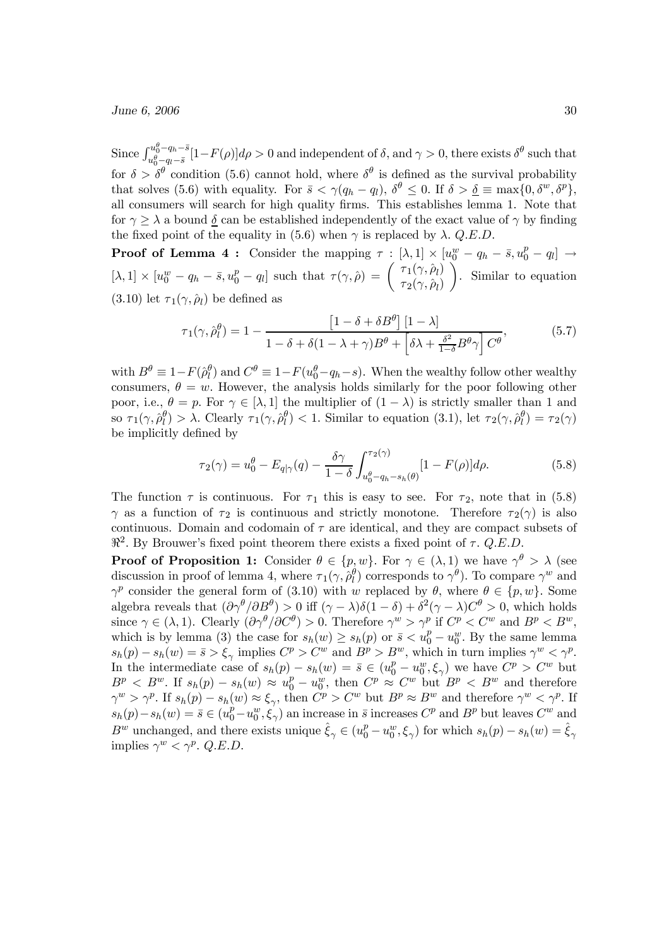Since  $\int_{\alpha,\theta}^{u_{0}^{\theta}-q_{h}-\bar{s}}$  $\int_{u_0^{\theta}-q_h-s}^{u_0^{\omega}-q_h-s}[1-F(\rho)]d\rho>0$  and independent of  $\delta$ , and  $\gamma>0$ , there exists  $\delta^{\theta}$  such that for  $\delta > \delta^{\theta}$  condition (5.6) cannot hold, where  $\delta^{\theta}$  is defined as the survival probability that solves (5.6) with equality. For  $\bar{s} < \gamma (q_h - q_l)$ ,  $\delta^{\theta} \leq 0$ . If  $\delta > \underline{\delta} \equiv \max\{0, \delta^w, \delta^p\},$ all consumers will search for high quality firms. This establishes lemma 1. Note that for  $\gamma \geq \lambda$  a bound  $\delta$  can be established independently of the exact value of  $\gamma$  by finding the fixed point of the equality in (5.6) when  $\gamma$  is replaced by  $\lambda$ . Q.E.D.

**Proof of Lemma 4:** Consider the mapping  $\tau : [\lambda, 1] \times [u_0^w - q_h - \bar{s}, u_0^p - q_l] \rightarrow$  $[\lambda, 1] \times [u_0^w - q_h - \bar{s}, u_0^p - q_l]$  such that  $\tau(\gamma, \hat{\rho}) = \begin{pmatrix} \tau_1(\gamma, \hat{\rho}_l) \\ \tau_2(\gamma, \hat{\rho}_l) \end{pmatrix}$  $\overline{ }$ . Similar to equation (3.10) let  $\tau_1(\gamma, \hat{\rho}_l)$  be defined as

$$
\tau_1(\gamma, \hat{\rho}_l^{\theta}) = 1 - \frac{\left[1 - \delta + \delta B^{\theta}\right] \left[1 - \lambda\right]}{1 - \delta + \delta(1 - \lambda + \gamma)B^{\theta} + \left[\delta \lambda + \frac{\delta^2}{1 - \delta} B^{\theta} \gamma\right] C^{\theta}},\tag{5.7}
$$

with  $B^{\theta} \equiv 1 - F(\hat{\rho}_l^{\theta})$  and  $C^{\theta} \equiv 1 - F(u_0^{\theta} - q_h - s)$ . When the wealthy follow other wealthy consumers,  $\theta = w$ . However, the analysis holds similarly for the poor following other poor, i.e.,  $\theta = p$ . For  $\gamma \in [\lambda, 1]$  the multiplier of  $(1 - \lambda)$  is strictly smaller than 1 and so  $\tau_1(\gamma, \hat{\rho}_l^{\theta}) > \lambda$ . Clearly  $\tau_1(\gamma, \hat{\rho}_l^{\theta}) < 1$ . Similar to equation (3.1), let  $\tau_2(\gamma, \hat{\rho}_l^{\theta}) = \tau_2(\gamma)$ be implicitly defined by

$$
\tau_2(\gamma) = u_0^{\theta} - E_{q|\gamma}(q) - \frac{\delta \gamma}{1 - \delta} \int_{u_0^{\theta} - q_h - s_h(\theta)}^{\tau_2(\gamma)} [1 - F(\rho)] d\rho.
$$
 (5.8)

The function  $\tau$  is continuous. For  $\tau_1$  this is easy to see. For  $\tau_2$ , note that in (5.8)  $\gamma$  as a function of  $\tau_2$  is continuous and strictly monotone. Therefore  $\tau_2(\gamma)$  is also continuous. Domain and codomain of  $\tau$  are identical, and they are compact subsets of  $\mathbb{R}^2$ . By Brouwer's fixed point theorem there exists a fixed point of  $\tau$ . Q.E.D.

**Proof of Proposition 1:** Consider  $\theta \in \{p,w\}$ . For  $\gamma \in (\lambda,1)$  we have  $\gamma^{\theta} > \lambda$  (see discussion in proof of lemma 4, where  $\tau_1(\gamma, \hat{\rho}_l^{\theta})$  corresponds to  $\gamma^{\theta}$ ). To compare  $\gamma^w$  and  $\gamma^p$  consider the general form of (3.10) with w replaced by  $\theta$ , where  $\theta \in \{p, w\}$ . Some algebra reveals that  $(\partial \gamma^{\theta}/\partial B^{\theta}) > 0$  iff  $(\gamma - \lambda)\delta(1 - \delta) + \delta^2(\gamma - \lambda)C^{\theta} > 0$ , which holds since  $\gamma \in (\lambda, 1)$ . Clearly  $(\partial \gamma^{\theta}/\partial C^{\theta}) > 0$ . Therefore  $\gamma^{w} > \gamma^{p}$  if  $C^{p} < C^{w}$  and  $B^{p} < B^{w}$ , which is by lemma (3) the case for  $s_h(w) \geq s_h(p)$  or  $\bar{s} < u_0^p - u_0^w$ . By the same lemma  $s_h(p) - s_h(w) = \bar{s} > \xi_\gamma$  implies  $C^p > C^w$  and  $B^p > B^w$ , which in turn implies  $\gamma^w < \gamma^p$ . In the intermediate case of  $s_h(p) - s_h(w) = \bar{s} \in (u_0^p - u_0^w, \xi_\gamma)$  we have  $C^p > C^w$  but  $B^p \leq B^w$ . If  $s_h(p) - s_h(w) \approx u_0^p - u_0^w$ , then  $C^p \approx C^w$  but  $B^p \lt B^w$  and therefore  $\gamma^w > \gamma^p$ . If  $s_h(p) - s_h(w) \approx \xi_{\gamma}$ , then  $C^p > C^w$  but  $B^p \approx B^w$  and therefore  $\gamma^w < \gamma^p$ . If  $s_h(p)-s_h(w)=\overline{s}\in (u_0^p-u_0^w,\xi_\gamma)$  an increase in  $\overline{s}$  increases  $C^p$  and  $B^p$  but leaves  $C^w$  and  $B^w$  unchanged, and there exists unique  $\hat{\xi}_{\gamma} \in (u_0^p - u_0^w, \xi_{\gamma})$  for which  $s_h(p) - s_h(w) = \hat{\xi}_{\gamma}$ implies  $\gamma^w < \gamma^p$ . *Q.E.D.*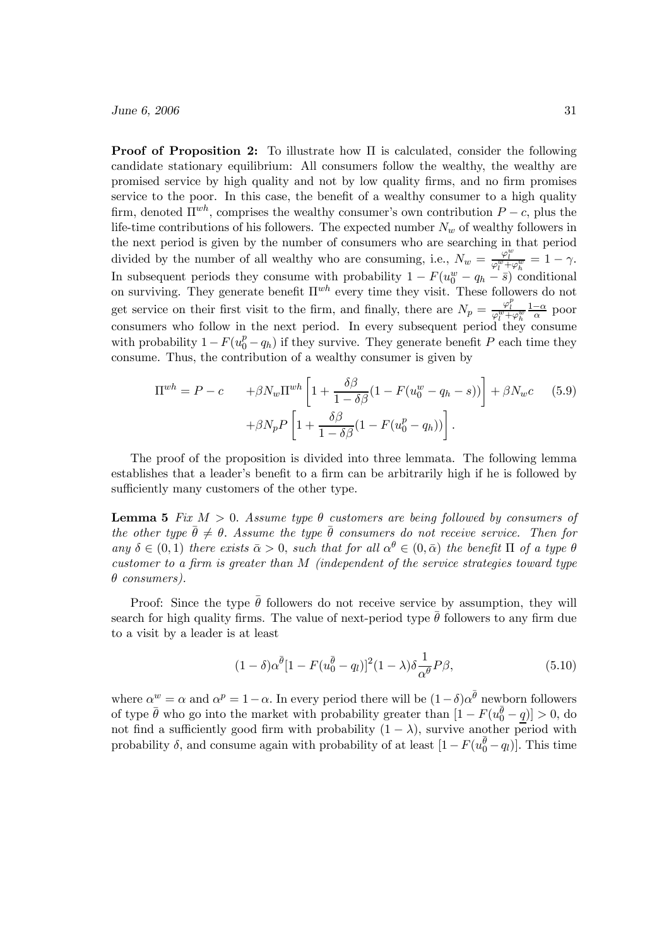**Proof of Proposition 2:** To illustrate how  $\Pi$  is calculated, consider the following candidate stationary equilibrium: All consumers follow the wealthy, the wealthy are promised service by high quality and not by low quality firms, and no firm promises service to the poor. In this case, the benefit of a wealthy consumer to a high quality firm, denoted  $\Pi^{wh}$ , comprises the wealthy consumer's own contribution  $P - c$ , plus the life-time contributions of his followers. The expected number  $N_w$  of wealthy followers in the next period is given by the number of consumers who are searching in that period divided by the number of all wealthy who are consuming, i.e.,  $N_w = \frac{\varphi_l^w}{\varphi_l^w + \varphi_h^w} = 1 - \gamma$ . In subsequent periods they consume with probability  $1 - F(u_0^w - q_h - \bar{s})$  conditional on surviving. They generate benefit  $\Pi^{wh}$  every time they visit. These followers do not get service on their first visit to the firm, and finally, there are  $N_p = \frac{\varphi_l^p}{\varphi_l^w + \varphi_h^w} \frac{1-\alpha}{\alpha}$  poor consumers who follow in the next period. In every subsequent period they consume with probability  $1-F(u_0^p-q_h)$  if they survive. They generate benefit P each time they consume. Thus, the contribution of a wealthy consumer is given by

$$
\Pi^{wh} = P - c \qquad +\beta N_w \Pi^{wh} \left[ 1 + \frac{\delta \beta}{1 - \delta \beta} (1 - F(u_0^w - q_h - s)) \right] + \beta N_w c \qquad (5.9)
$$

$$
+ \beta N_p P \left[ 1 + \frac{\delta \beta}{1 - \delta \beta} (1 - F(u_0^p - q_h)) \right].
$$

The proof of the proposition is divided into three lemmata. The following lemma establishes that a leader's benefit to a firm can be arbitrarily high if he is followed by sufficiently many customers of the other type.

**Lemma 5** Fix  $M > 0$ . Assume type  $\theta$  customers are being followed by consumers of the other type  $\bar{\theta} \neq \theta$ . Assume the type  $\bar{\theta}$  consumers do not receive service. Then for any  $\delta \in (0,1)$  there exists  $\bar{\alpha} > 0$ , such that for all  $\alpha^{\theta} \in (0, \bar{\alpha})$  the benefit  $\Pi$  of a type  $\theta$ customer to a firm is greater than M (independent of the service strategies toward type  $\theta$  consumers).

Proof: Since the type  $\bar{\theta}$  followers do not receive service by assumption, they will search for high quality firms. The value of next-period type  $\bar{\theta}$  followers to any firm due to a visit by a leader is at least

$$
(1 - \delta)\alpha^{\bar{\theta}}[1 - F(u_0^{\bar{\theta}} - q_l)]^2 (1 - \lambda)\delta \frac{1}{\alpha^{\theta}} P\beta,
$$
\n(5.10)

where  $\alpha^w = \alpha$  and  $\alpha^p = 1 - \alpha$ . In every period there will be  $(1-\delta)\alpha^{\bar{\theta}}$  newborn followers of type  $\bar{\theta}$  who go into the market with probability greater than  $[1 - F(u_0^{\bar{\theta}} - \underline{q})] > 0$ , do not find a sufficiently good firm with probability  $(1 - \lambda)$ , survive another period with probability  $\delta$ , and consume again with probability of at least  $[1 - F(u_0^{\bar{\theta}} - q_l)]$ . This time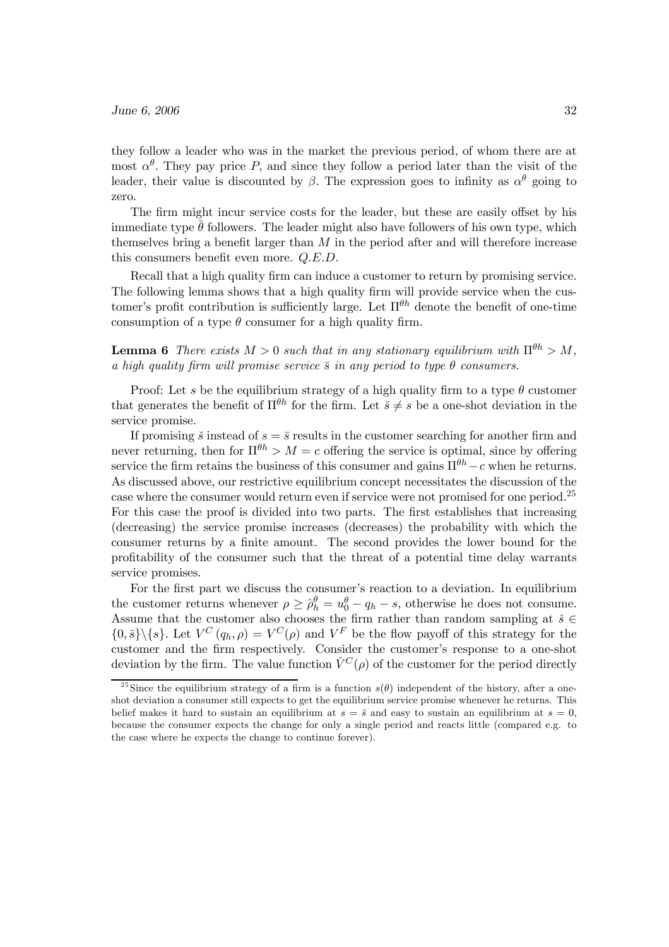they follow a leader who was in the market the previous period, of whom there are at most  $\alpha^{\theta}$ . They pay price P, and since they follow a period later than the visit of the leader, their value is discounted by  $\beta$ . The expression goes to infinity as  $\alpha^{\theta}$  going to zero.

The firm might incur service costs for the leader, but these are easily offset by his immediate type  $\bar{\theta}$  followers. The leader might also have followers of his own type, which themselves bring a benefit larger than  $M$  in the period after and will therefore increase this consumers benefit even more. Q.E.D.

Recall that a high quality firm can induce a customer to return by promising service. The following lemma shows that a high quality firm will provide service when the customer's profit contribution is sufficiently large. Let  $\Pi^{\theta h}$  denote the benefit of one-time consumption of a type  $\theta$  consumer for a high quality firm.

**Lemma 6** There exists  $M > 0$  such that in any stationary equilibrium with  $\Pi^{\theta h} > M$ , a high quality firm will promise service  $\bar{s}$  in any period to type  $\theta$  consumers.

Proof: Let s be the equilibrium strategy of a high quality firm to a type  $\theta$  customer that generates the benefit of  $\Pi^{\theta h}$  for the firm. Let  $\check{s} \neq s$  be a one-shot deviation in the service promise.

If promising  $\check{s}$  instead of  $s = \bar{s}$  results in the customer searching for another firm and never returning, then for  $\Pi^{\theta h} > M = c$  offering the service is optimal, since by offering service the firm retains the business of this consumer and gains  $\Pi^{\theta h} - c$  when he returns. As discussed above, our restrictive equilibrium concept necessitates the discussion of the case where the consumer would return even if service were not promised for one period.<sup>25</sup> For this case the proof is divided into two parts. The first establishes that increasing (decreasing) the service promise increases (decreases) the probability with which the consumer returns by a finite amount. The second provides the lower bound for the profitability of the consumer such that the threat of a potential time delay warrants service promises.

For the first part we discuss the consumer's reaction to a deviation. In equilibrium the customer returns whenever  $\rho \geq \hat{\rho}_h^{\theta} = u_0^{\theta} - q_h - s$ , otherwise he does not consume. Assume that the customer also chooses the firm rather than random sampling at  $\check{s} \in \mathbb{R}^n$  $\{0,\bar{s}\}\backslash\{s\}.$  Let  $V^C(q_h,\rho)=V^C(\rho)$  and  $V^F$  be the flow payoff of this strategy for the customer and the firm respectively. Consider the customer's response to a one-shot deviation by the firm. The value function  $\check{V}^C(\rho)$  of the customer for the period directly

<sup>&</sup>lt;sup>25</sup>Since the equilibrium strategy of a firm is a function  $s(\theta)$  independent of the history, after a oneshot deviation a consumer still expects to get the equilibrium service promise whenever he returns. This belief makes it hard to sustain an equilibrium at  $s = \overline{s}$  and easy to sustain an equilibrium at  $s = 0$ , because the consumer expects the change for only a single period and reacts little (compared e.g. to the case where he expects the change to continue forever).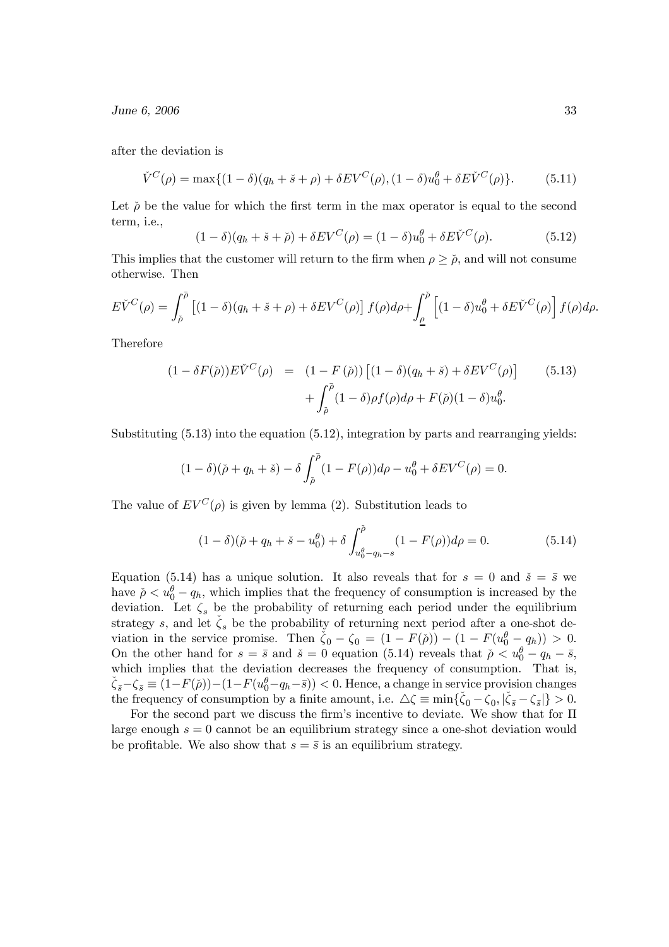after the deviation is

$$
\check{V}^{C}(\rho) = \max\{(1-\delta)(q_h + \check{s} + \rho) + \delta EV^{C}(\rho), (1-\delta)u_0^{\theta} + \delta E \check{V}^{C}(\rho)\}.
$$
 (5.11)

Let  $\check{\rho}$  be the value for which the first term in the max operator is equal to the second term, i.e.,

$$
(1 - \delta)(q_h + \check{s} + \check{\rho}) + \delta EV^C(\rho) = (1 - \delta)u_0^{\theta} + \delta E \check{V}^C(\rho).
$$
 (5.12)

This implies that the customer will return to the firm when  $\rho \geq \check{\rho}$ , and will not consume otherwise. Then

$$
E\check{V}^C(\rho) = \int_{\check{\rho}}^{\check{\rho}} \left[ (1-\delta)(q_h + \check{s} + \rho) + \delta EV^C(\rho) \right] f(\rho) d\rho + \int_{\underline{\rho}}^{\check{\rho}} \left[ (1-\delta)u_0^{\theta} + \delta E \check{V}^C(\rho) \right] f(\rho) d\rho.
$$

Therefore

$$
(1 - \delta F(\check{\rho})) E\check{V}^C(\rho) = (1 - F(\check{\rho})) [(1 - \delta)(q_h + \check{s}) + \delta E V^C(\rho)] \qquad (5.13)
$$

$$
+ \int_{\check{\rho}}^{\check{\rho}} (1 - \delta) \rho f(\rho) d\rho + F(\check{\rho})(1 - \delta) u_0^{\theta}.
$$

Substituting (5.13) into the equation (5.12), integration by parts and rearranging yields:

$$
(1 - \delta)(\check{\rho} + q_h + \check{s}) - \delta \int_{\check{\rho}}^{\check{\rho}} (1 - F(\rho)) d\rho - u_0^{\theta} + \delta EV^C(\rho) = 0.
$$

The value of  $EV^C(\rho)$  is given by lemma (2). Substitution leads to

$$
(1 - \delta)(\tilde{\rho} + q_h + \check{s} - u_0^{\theta}) + \delta \int_{u_0^{\theta} - q_h - s}^{\check{\rho}} (1 - F(\rho)) d\rho = 0.
$$
 (5.14)

Equation (5.14) has a unique solution. It also reveals that for  $s = 0$  and  $\check{s} = \bar{s}$  we have  $\tilde{\rho} < u_0^{\theta} - q_h$ , which implies that the frequency of consumption is increased by the deviation. Let  $\zeta_s$  be the probability of returning each period under the equilibrium strategy s, and let  $\check{\zeta}_s$  be the probability of returning next period after a one-shot deviation in the service promise. Then  $\check{\zeta}_0 - \zeta_0 = (1 - F(\check{\rho})) - (1 - F(u_0^{\theta} - q_h)) > 0$ . On the other hand for  $s = \bar{s}$  and  $\check{s} = 0$  equation (5.14) reveals that  $\check{\rho} < u_0^{\theta} - q_h - \bar{s}$ , which implies that the deviation decreases the frequency of consumption. That is,  $\zeta_{\bar{s}}-\zeta_{\bar{s}}\equiv (1-F(\check{\rho}))-(1-F(u_0^{\theta}-q_h-\bar{s}))<0.$  Hence, a change in service provision changes the frequency of consumption by a finite amount, i.e.  $\Delta \zeta \equiv \min{\{\zeta_0 - \zeta_0, |\zeta_{\bar{s}} - \zeta_{\bar{s}}|\}} > 0.$ 

For the second part we discuss the firm's incentive to deviate. We show that for Π large enough  $s = 0$  cannot be an equilibrium strategy since a one-shot deviation would be profitable. We also show that  $s = \bar{s}$  is an equilibrium strategy.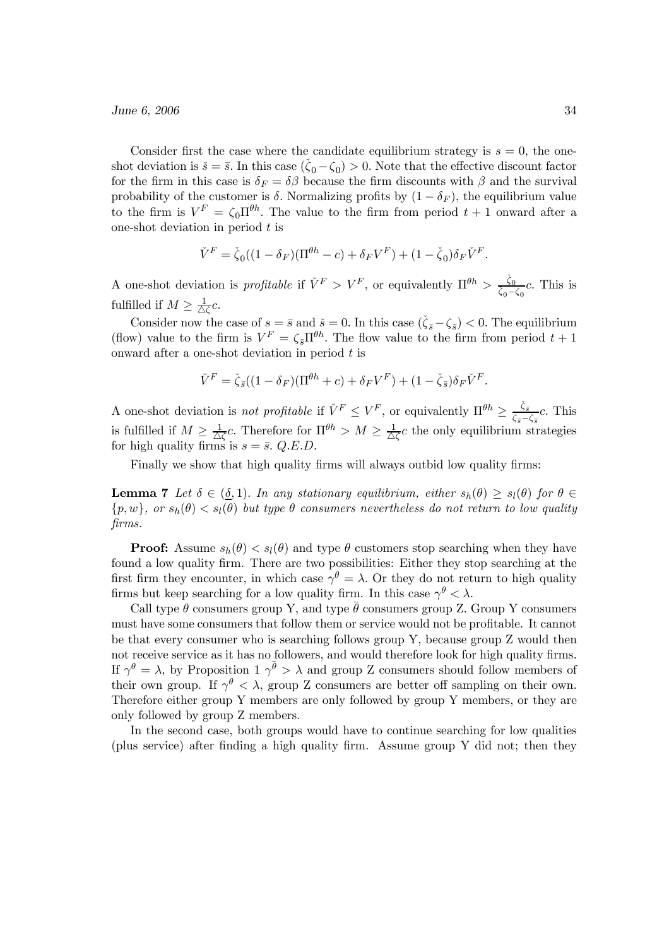Consider first the case where the candidate equilibrium strategy is  $s = 0$ , the oneshot deviation is  $\check{s} = \bar{s}$ . In this case  $(\check{\zeta}_0 - \zeta_0) > 0$ . Note that the effective discount factor for the firm in this case is  $\delta_F = \delta\beta$  because the firm discounts with  $\beta$  and the survival probability of the customer is  $\delta$ . Normalizing profits by  $(1 - \delta_F)$ , the equilibrium value to the firm is  $V^F = \zeta_0 \Pi^{\theta h}$ . The value to the firm from period  $t + 1$  onward after a one-shot deviation in period  $t$  is

$$
\check{V}^F = \check{\zeta}_0((1 - \delta_F)(\Pi^{\theta h} - c) + \delta_F V^F) + (1 - \check{\zeta}_0)\delta_F \check{V}^F.
$$

A one-shot deviation is *profitable* if  $\check{V}^F > V^F$ , or equivalently  $\Pi^{\theta h} > \frac{\check{\zeta}_0}{\check{\zeta}_0 - \zeta_0}c$ . This is fulfilled if  $M \geq \frac{1}{\triangle \zeta}c$ .

Consider now the case of  $s = \bar{s}$  and  $\check{s} = 0$ . In this case  $(\check{\zeta}_{\bar{s}} - \zeta_{\bar{s}}) < 0$ . The equilibrium (flow) value to the firm is  $V^F = \zeta_{\bar{s}} \Pi^{\theta h}$ . The flow value to the firm from period  $t + 1$ onward after a one-shot deviation in period  $t$  is

$$
\check{V}^F = \check{\zeta}_{\bar{s}}((1 - \delta_F)(\Pi^{\theta h} + c) + \delta_F V^F) + (1 - \check{\zeta}_{\bar{s}})\delta_F \check{V}^F.
$$

A one-shot deviation is *not profitable* if  $\check{V}^F \leq V^F$ , or equivalently  $\Pi^{\theta h} \geq \frac{\check{\zeta}_{\bar{s}}}{\zeta_{\bar{s}} - \check{\zeta}_{\bar{s}}}c$ . This is fulfilled if  $M \geq \frac{1}{\Delta \zeta}c$ . Therefore for  $\Pi^{\theta h} > M \geq \frac{1}{\Delta \zeta}c$  the only equilibrium strategies for high quality firms is  $s = \bar{s}$ . Q.E.D.

Finally we show that high quality firms will always outbid low quality firms:

**Lemma 7** Let  $\delta \in (\underline{\delta}, 1)$ . In any stationary equilibrium, either  $s_h(\theta) \geq s_l(\theta)$  for  $\theta \in$  $\{p, w\}$ , or  $s_h(\theta) < s_l(\theta)$  but type  $\theta$  consumers nevertheless do not return to low quality firms.

**Proof:** Assume  $s_h(\theta) < s_l(\theta)$  and type  $\theta$  customers stop searching when they have found a low quality firm. There are two possibilities: Either they stop searching at the first firm they encounter, in which case  $\gamma^{\theta} = \lambda$ . Or they do not return to high quality firms but keep searching for a low quality firm. In this case  $\gamma^{\theta} < \lambda$ .

Call type  $\theta$  consumers group Y, and type  $\bar{\theta}$  consumers group Z. Group Y consumers must have some consumers that follow them or service would not be profitable. It cannot be that every consumer who is searching follows group Y, because group Z would then not receive service as it has no followers, and would therefore look for high quality firms. If  $\gamma^{\theta} = \lambda$ , by Proposition 1  $\gamma^{\bar{\theta}} > \lambda$  and group Z consumers should follow members of their own group. If  $\gamma^{\theta} < \lambda$ , group Z consumers are better off sampling on their own. Therefore either group Y members are only followed by group Y members, or they are only followed by group Z members.

In the second case, both groups would have to continue searching for low qualities (plus service) after finding a high quality firm. Assume group Y did not; then they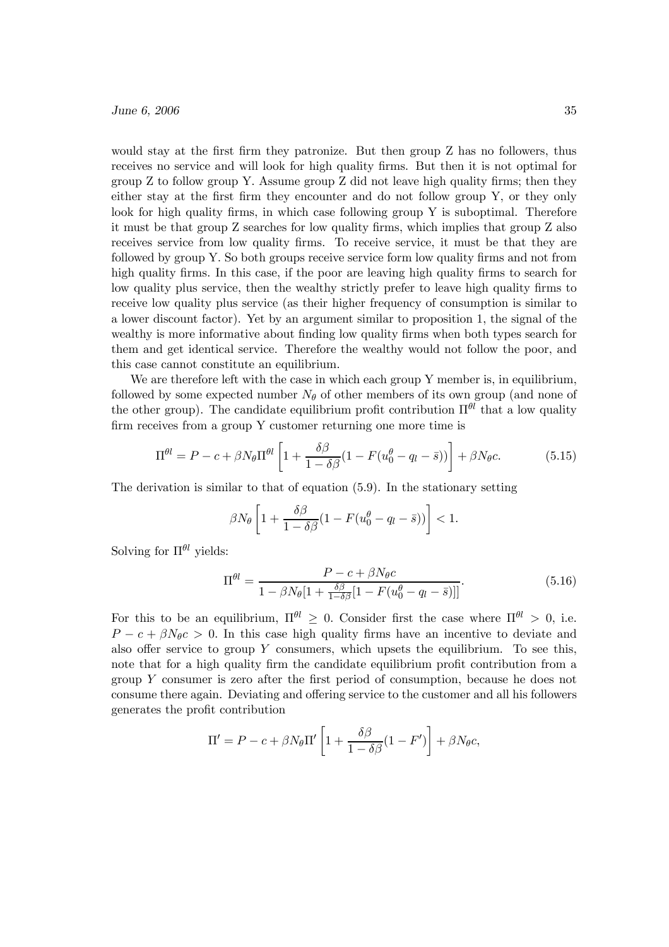would stay at the first firm they patronize. But then group Z has no followers, thus receives no service and will look for high quality firms. But then it is not optimal for group Z to follow group Y. Assume group Z did not leave high quality firms; then they either stay at the first firm they encounter and do not follow group Y, or they only look for high quality firms, in which case following group Y is suboptimal. Therefore it must be that group Z searches for low quality firms, which implies that group Z also receives service from low quality firms. To receive service, it must be that they are followed by group Y. So both groups receive service form low quality firms and not from high quality firms. In this case, if the poor are leaving high quality firms to search for low quality plus service, then the wealthy strictly prefer to leave high quality firms to receive low quality plus service (as their higher frequency of consumption is similar to a lower discount factor). Yet by an argument similar to proposition 1, the signal of the wealthy is more informative about finding low quality firms when both types search for them and get identical service. Therefore the wealthy would not follow the poor, and this case cannot constitute an equilibrium.

We are therefore left with the case in which each group Y member is, in equilibrium, followed by some expected number  $N_{\theta}$  of other members of its own group (and none of the other group). The candidate equilibrium profit contribution  $\Pi^{\theta l}$  that a low quality firm receives from a group Y customer returning one more time is

$$
\Pi^{\theta l} = P - c + \beta N_{\theta} \Pi^{\theta l} \left[ 1 + \frac{\delta \beta}{1 - \delta \beta} (1 - F(u_0^{\theta} - q_l - \bar{s})) \right] + \beta N_{\theta} c.
$$
 (5.15)

The derivation is similar to that of equation (5.9). In the stationary setting

$$
\beta N_{\theta} \left[ 1 + \frac{\delta \beta}{1 - \delta \beta} (1 - F(u_0^{\theta} - q_l - \bar{s})) \right] < 1.
$$

Solving for  $\Pi^{\theta l}$  yields:

$$
\Pi^{\theta l} = \frac{P - c + \beta N_{\theta} c}{1 - \beta N_{\theta} [1 + \frac{\delta \beta}{1 - \delta \beta} [1 - F(u_0^{\theta} - q_l - \bar{s})]]}.
$$
\n(5.16)

For this to be an equilibrium,  $\Pi^{\theta l} \geq 0$ . Consider first the case where  $\Pi^{\theta l} > 0$ , i.e.  $P - c + \beta N_{\theta} c > 0$ . In this case high quality firms have an incentive to deviate and also offer service to group  $Y$  consumers, which upsets the equilibrium. To see this, note that for a high quality firm the candidate equilibrium profit contribution from a group Y consumer is zero after the first period of consumption, because he does not consume there again. Deviating and offering service to the customer and all his followers generates the profit contribution

$$
\Pi' = P - c + \beta N_{\theta} \Pi' \left[ 1 + \frac{\delta \beta}{1 - \delta \beta} (1 - F') \right] + \beta N_{\theta} c,
$$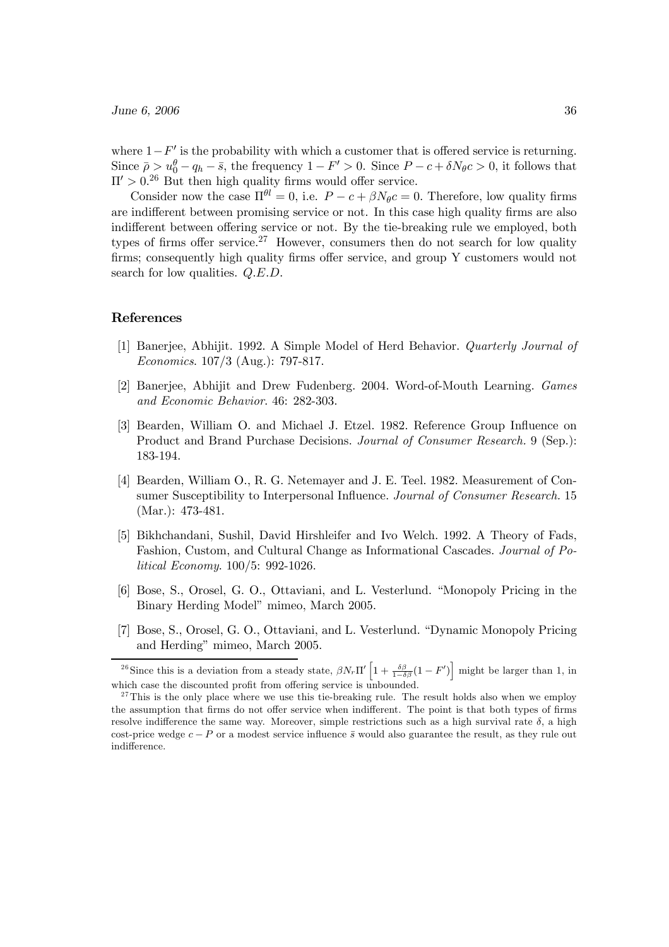where  $1-F'$  is the probability with which a customer that is offered service is returning. Since  $\bar{\rho} > u_0^{\theta} - q_h - \bar{s}$ , the frequency  $1 - F' > 0$ . Since  $P - c + \delta N_{\theta} c > 0$ , it follows that  $\Pi' > 0$ <sup>26</sup> But then high quality firms would offer service.

Consider now the case  $\Pi^{\theta l} = 0$ , i.e.  $P - c + \beta N_{\theta} c = 0$ . Therefore, low quality firms are indifferent between promising service or not. In this case high quality firms are also indifferent between offering service or not. By the tie-breaking rule we employed, both types of firms offer service.<sup>27</sup> However, consumers then do not search for low quality firms; consequently high quality firms offer service, and group Y customers would not search for low qualities.  $Q.E.D.$ 

## References

- [1] Banerjee, Abhijit. 1992. A Simple Model of Herd Behavior. Quarterly Journal of Economics. 107/3 (Aug.): 797-817.
- [2] Banerjee, Abhijit and Drew Fudenberg. 2004. Word-of-Mouth Learning. Games and Economic Behavior. 46: 282-303.
- [3] Bearden, William O. and Michael J. Etzel. 1982. Reference Group Influence on Product and Brand Purchase Decisions. Journal of Consumer Research. 9 (Sep.): 183-194.
- [4] Bearden, William O., R. G. Netemayer and J. E. Teel. 1982. Measurement of Consumer Susceptibility to Interpersonal Influence. Journal of Consumer Research. 15 (Mar.): 473-481.
- [5] Bikhchandani, Sushil, David Hirshleifer and Ivo Welch. 1992. A Theory of Fads, Fashion, Custom, and Cultural Change as Informational Cascades. Journal of Political Economy. 100/5: 992-1026.
- [6] Bose, S., Orosel, G. O., Ottaviani, and L. Vesterlund. "Monopoly Pricing in the Binary Herding Model" mimeo, March 2005.
- [7] Bose, S., Orosel, G. O., Ottaviani, and L. Vesterlund. "Dynamic Monopoly Pricing and Herding" mimeo, March 2005.

<sup>&</sup>lt;sup>26</sup>Since this is a deviation from a steady state,  $\beta N_r \Pi' \left[1 + \frac{\delta \beta}{1 - \delta \beta} (1 - F')\right]$  might be larger than 1, in which case the discounted profit from offering service is unbounded.

 $27$ This is the only place where we use this tie-breaking rule. The result holds also when we employ the assumption that firms do not offer service when indifferent. The point is that both types of firms resolve indifference the same way. Moreover, simple restrictions such as a high survival rate  $\delta$ , a high cost-price wedge  $c - P$  or a modest service influence  $\bar{s}$  would also guarantee the result, as they rule out indifference.